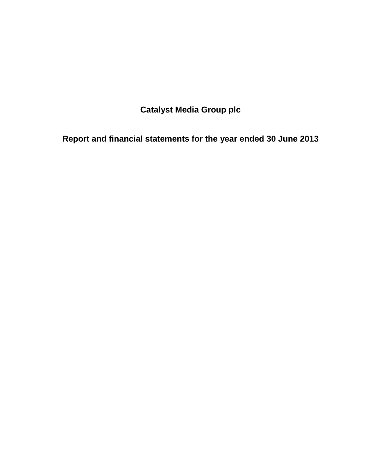**Catalyst Media Group plc**

**Report and financial statements for the year ended 30 June 2013**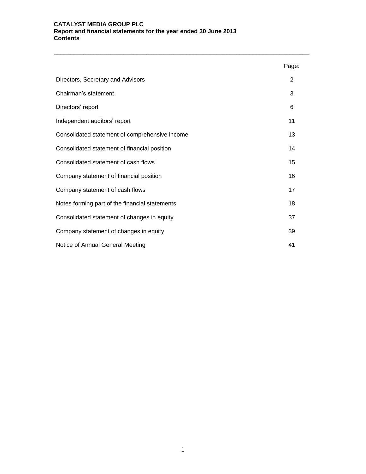#### **CATALYST MEDIA GROUP PLC Report and financial statements for the year ended 30 June 2013 Contents**

|                                                | Page: |
|------------------------------------------------|-------|
| Directors, Secretary and Advisors              | 2     |
| Chairman's statement                           | 3     |
| Directors' report                              | 6     |
| Independent auditors' report                   | 11    |
| Consolidated statement of comprehensive income | 13    |
| Consolidated statement of financial position   | 14    |
| Consolidated statement of cash flows           | 15    |
| Company statement of financial position        | 16    |
| Company statement of cash flows                | 17    |
| Notes forming part of the financial statements | 18    |
| Consolidated statement of changes in equity    | 37    |
| Company statement of changes in equity         | 39    |
| Notice of Annual General Meeting               | 41    |

**\_\_\_\_\_\_\_\_\_\_\_\_\_\_\_\_\_\_\_\_\_\_\_\_\_\_\_\_\_\_\_\_\_\_\_\_\_\_\_\_\_\_\_\_\_\_\_\_\_\_\_\_\_\_\_\_\_\_\_\_\_\_\_\_\_\_\_\_\_\_\_\_\_\_\_\_\_**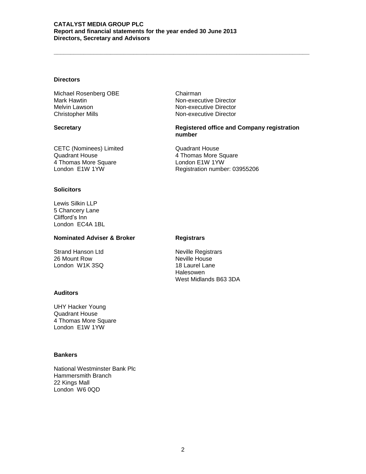#### **CATALYST MEDIA GROUP PLC Report and financial statements for the year ended 30 June 2013 Directors, Secretary and Advisors**

#### **Directors**

Michael Rosenberg OBE Chairman<br>Mark Hawtin Chairman Non-exect Melvin Lawson Non-executive Director Christopher Mills **Non-executive Director** 

CETC (Nominees) Limited Cuadrant House<br>
Quadrant House 4 Thomas More ( 4 Thomas More Square

# **Solicitors**

Lewis Silkin LLP 5 Chancery Lane Clifford's Inn London EC4A 1BL

#### **Nominated Adviser & Broker Registrars**

Strand Hanson Ltd<br>
26 Mount Row<br>
26 Mount Row London W1K 3SQ 18 Laurel Lane

# **Auditors**

UHY Hacker Young Quadrant House 4 Thomas More Square London E1W 1YW

#### **Bankers**

National Westminster Bank Plc Hammersmith Branch 22 Kings Mall London W6 0QD

Non-executive Director

**\_\_\_\_\_\_\_\_\_\_\_\_\_\_\_\_\_\_\_\_\_\_\_\_\_\_\_\_\_\_\_\_\_\_\_\_\_\_\_\_\_\_\_\_\_\_\_\_\_\_\_\_\_\_\_\_\_\_\_\_\_\_\_\_\_\_\_\_\_\_\_\_\_\_\_\_\_**

#### **Secretary Registered office and Company registration number**

4 Thomas More Square<br>London E1W 1YW London E1W 1YW Registration number: 03955206

Neville House Halesowen West Midlands B63 3DA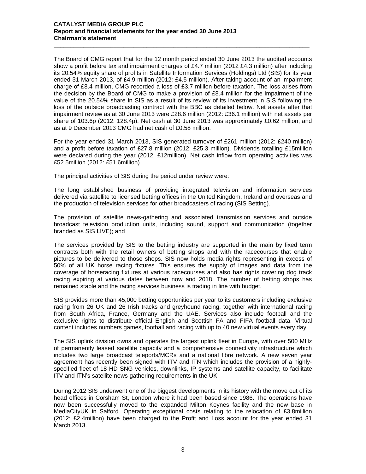#### **CATALYST MEDIA GROUP PLC Report and financial statements for the year ended 30 June 2013 Chairman's statement**

The Board of CMG report that for the 12 month period ended 30 June 2013 the audited accounts show a profit before tax and impairment charges of  $£4.7$  million (2012 £4.3 million) after including its 20.54% equity share of profits in Satellite Information Services (Holdings) Ltd (SIS) for its year ended 31 March 2013, of £4.9 million (2012: £4.5 million). After taking account of an impairment charge of £8.4 million, CMG recorded a loss of £3.7 million before taxation. The loss arises from the decision by the Board of CMG to make a provision of £8.4 million for the impairment of the value of the 20.54% share in SIS as a result of its review of its investment in SIS following the loss of the outside broadcasting contract with the BBC as detailed below. Net assets after that impairment review as at 30 June 2013 were £28.6 million (2012: £36.1 million) with net assets per share of 103.6p (2012: 128.4p). Net cash at 30 June 2013 was approximately £0.62 million, and as at 9 December 2013 CMG had net cash of £0.58 million.

**\_\_\_\_\_\_\_\_\_\_\_\_\_\_\_\_\_\_\_\_\_\_\_\_\_\_\_\_\_\_\_\_\_\_\_\_\_\_\_\_\_\_\_\_\_\_\_\_\_\_\_\_\_\_\_\_\_\_\_\_\_\_\_\_\_\_\_\_\_\_\_\_\_\_\_\_\_**

For the year ended 31 March 2013, SIS generated turnover of £261 million (2012: £240 million) and a profit before taxation of £27.8 million (2012: £25.3 million). Dividends totalling £15million were declared during the year (2012: £12million). Net cash inflow from operating activities was £52.5million (2012: £51.6million).

The principal activities of SIS during the period under review were:

The long established business of providing integrated television and information services delivered via satellite to licensed betting offices in the United Kingdom, Ireland and overseas and the production of television services for other broadcasters of racing (SIS Betting).

The provision of satellite news-gathering and associated transmission services and outside broadcast television production units, including sound, support and communication (together branded as SIS LIVE); and

The services provided by SIS to the betting industry are supported in the main by fixed term contracts both with the retail owners of betting shops and with the racecourses that enable pictures to be delivered to those shops. SIS now holds media rights representing in excess of 50% of all UK horse racing fixtures. This ensures the supply of images and data from the coverage of horseracing fixtures at various racecourses and also has rights covering dog track racing expiring at various dates between now and 2018. The number of betting shops has remained stable and the racing services business is trading in line with budget.

SIS provides more than 45,000 betting opportunities per year to its customers including exclusive racing from 26 UK and 26 Irish tracks and greyhound racing, together with international racing from South Africa, France, Germany and the UAE. Services also include football and the exclusive rights to distribute official English and Scottish FA and FIFA football data. Virtual content includes numbers games, football and racing with up to 40 new virtual events every day.

The SIS uplink division owns and operates the largest uplink fleet in Europe, with over 500 MHz of permanently leased satellite capacity and a comprehensive connectivity infrastructure which includes two large broadcast teleports/MCRs and a national fibre network. A new seven year agreement has recently been signed with ITV and ITN which includes the provision of a highlyspecified fleet of 18 HD SNG vehicles, downlinks, IP systems and satellite capacity, to facilitate ITV and ITN's satellite news gathering requirements in the UK

During 2012 SIS underwent one of the biggest developments in its history with the move out of its head offices in Corsham St, London where it had been based since 1986. The operations have now been successfully moved to the expanded Milton Keynes facility and the new base in MediaCityUK in Salford. Operating exceptional costs relating to the relocation of £3.8million (2012: £2.4million) have been charged to the Profit and Loss account for the year ended 31 March 2013.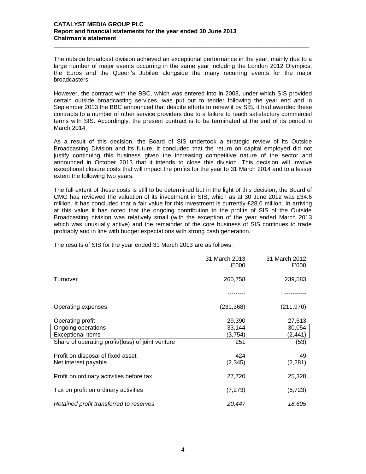#### **CATALYST MEDIA GROUP PLC Report and financial statements for the year ended 30 June 2013 Chairman's statement**

The outside broadcast division achieved an exceptional performance in the year, mainly due to a large number of major events occurring in the same year including the London 2012 Olympics, the Euros and the Queen's Jubilee alongside the many recurring events for the major broadcasters.

**\_\_\_\_\_\_\_\_\_\_\_\_\_\_\_\_\_\_\_\_\_\_\_\_\_\_\_\_\_\_\_\_\_\_\_\_\_\_\_\_\_\_\_\_\_\_\_\_\_\_\_\_\_\_\_\_\_\_\_\_\_\_\_\_\_\_\_\_\_\_\_\_\_\_\_\_\_**

However, the contract with the BBC, which was entered into in 2008, under which SIS provided certain outside broadcasting services, was put out to tender following the year end and in September 2013 the BBC announced that despite efforts to renew it by SIS, it had awarded these contracts to a number of other service providers due to a failure to reach satisfactory commercial terms with SIS. Accordingly, the present contract is to be terminated at the end of its period in March 2014.

As a result of this decision, the Board of SIS undertook a strategic review of its Outside Broadcasting Division and its future. It concluded that the return on capital employed did not justify continuing this business given the increasing competitive nature of the sector and announced in October 2013 that it intends to close this division. This decision will involve exceptional closure costs that will impact the profits for the year to 31 March 2014 and to a lesser extent the following two years.

The full extent of these costs is still to be determined but in the light of this decision, the Board of CMG has reviewed the valuation of its investment in SIS, which as at 30 June 2012 was £34.6 million. It has concluded that a fair value for this investment is currently £28.0 million. In arriving at this value it has noted that the ongoing contribution to the profits of SIS of the Outside Broadcasting division was relatively small (with the exception of the year ended March 2013 which was unusually active) and the remainder of the core business of SIS continues to trade profitably and in line with budget expectations with strong cash generation.

The results of SIS for the year ended 31 March 2013 are as follows:

|                                                   | 31 March 2013<br>£'000 | 31 March 2012<br>£'000 |
|---------------------------------------------------|------------------------|------------------------|
| Turnover                                          | 260,758                | 239,583                |
|                                                   |                        |                        |
| Operating expenses                                | (231, 368)             | (211, 970)             |
| Operating profit                                  | 29,390                 | 27,613                 |
| Ongoing operations                                | 33,144                 | 30,054                 |
| <b>Exceptional items</b>                          | (3,754)                | (2, 441)               |
| Share of operating profit/(loss) of joint venture | 251                    | (53)                   |
| Profit on disposal of fixed asset                 | 424                    | 49                     |
| Net interest payable                              | (2, 345)               | (2, 281)               |
| Profit on ordinary activities before tax          | 27,720                 | 25,328                 |
| Tax on profit on ordinary activities              | (7, 273)               | (6, 723)               |
| Retained profit transferred to reserves           | 20,447                 | 18,605                 |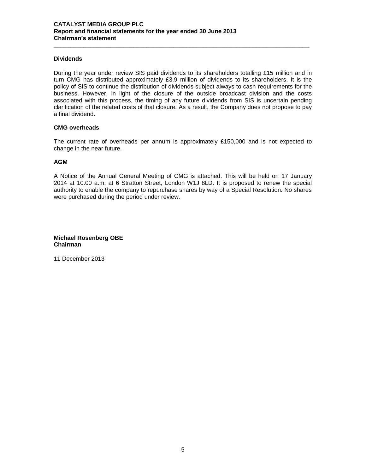#### **Dividends**

During the year under review SIS paid dividends to its shareholders totalling £15 million and in turn CMG has distributed approximately £3.9 million of dividends to its shareholders. It is the policy of SIS to continue the distribution of dividends subject always to cash requirements for the business. However, in light of the closure of the outside broadcast division and the costs associated with this process, the timing of any future dividends from SIS is uncertain pending clarification of the related costs of that closure. As a result, the Company does not propose to pay a final dividend.

**\_\_\_\_\_\_\_\_\_\_\_\_\_\_\_\_\_\_\_\_\_\_\_\_\_\_\_\_\_\_\_\_\_\_\_\_\_\_\_\_\_\_\_\_\_\_\_\_\_\_\_\_\_\_\_\_\_\_\_\_\_\_\_\_\_\_\_\_\_\_\_\_\_\_\_\_\_**

#### **CMG overheads**

The current rate of overheads per annum is approximately £150,000 and is not expected to change in the near future.

#### **AGM**

A Notice of the Annual General Meeting of CMG is attached. This will be held on 17 January 2014 at 10.00 a.m. at 6 Stratton Street, London W1J 8LD. It is proposed to renew the special authority to enable the company to repurchase shares by way of a Special Resolution. No shares were purchased during the period under review.

#### **Michael Rosenberg OBE Chairman**

11 December 2013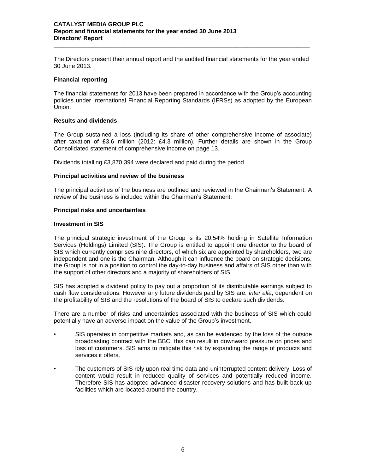The Directors present their annual report and the audited financial statements for the year ended 30 June 2013.

**\_\_\_\_\_\_\_\_\_\_\_\_\_\_\_\_\_\_\_\_\_\_\_\_\_\_\_\_\_\_\_\_\_\_\_\_\_\_\_\_\_\_\_\_\_\_\_\_\_\_\_\_\_\_\_\_\_\_\_\_\_\_\_\_\_\_\_\_\_\_\_\_\_\_\_\_\_**

#### **Financial reporting**

The financial statements for 2013 have been prepared in accordance with the Group's accounting policies under International Financial Reporting Standards (IFRSs) as adopted by the European Union.

#### **Results and dividends**

The Group sustained a loss (including its share of other comprehensive income of associate) after taxation of £3.6 million (2012: £4.3 million). Further details are shown in the Group Consolidated statement of comprehensive income on page 13.

Dividends totalling £3,870,394 were declared and paid during the period.

#### **Principal activities and review of the business**

The principal activities of the business are outlined and reviewed in the Chairman's Statement. A review of the business is included within the Chairman's Statement.

#### **Principal risks and uncertainties**

#### **Investment in SIS**

The principal strategic investment of the Group is its 20.54% holding in Satellite Information Services (Holdings) Limited (SIS). The Group is entitled to appoint one director to the board of SIS which currently comprises nine directors, of which six are appointed by shareholders, two are independent and one is the Chairman. Although it can influence the board on strategic decisions, the Group is not in a position to control the day-to-day business and affairs of SIS other than with the support of other directors and a majority of shareholders of SIS.

SIS has adopted a dividend policy to pay out a proportion of its distributable earnings subject to cash flow considerations. However any future dividends paid by SIS are, *inter alia*, dependent on the profitability of SIS and the resolutions of the board of SIS to declare such dividends.

There are a number of risks and uncertainties associated with the business of SIS which could potentially have an adverse impact on the value of the Group's investment.

- SIS operates in competitive markets and, as can be evidenced by the loss of the outside broadcasting contract with the BBC, this can result in downward pressure on prices and loss of customers. SIS aims to mitigate this risk by expanding the range of products and services it offers.
- The customers of SIS rely upon real time data and uninterrupted content delivery. Loss of content would result in reduced quality of services and potentially reduced income. Therefore SIS has adopted advanced disaster recovery solutions and has built back up facilities which are located around the country.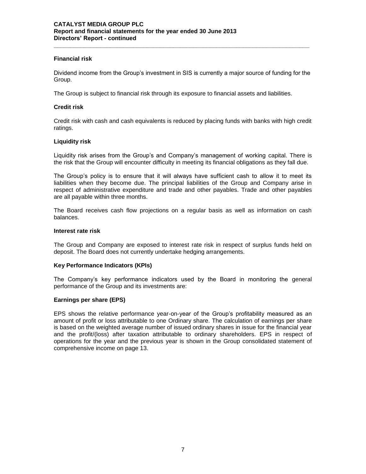#### **Financial risk**

Dividend income from the Group's investment in SIS is currently a major source of funding for the Group.

**\_\_\_\_\_\_\_\_\_\_\_\_\_\_\_\_\_\_\_\_\_\_\_\_\_\_\_\_\_\_\_\_\_\_\_\_\_\_\_\_\_\_\_\_\_\_\_\_\_\_\_\_\_\_\_\_\_\_\_\_\_\_\_\_\_\_\_\_\_\_\_\_\_\_\_\_\_**

The Group is subject to financial risk through its exposure to financial assets and liabilities.

#### **Credit risk**

Credit risk with cash and cash equivalents is reduced by placing funds with banks with high credit ratings.

#### **Liquidity risk**

Liquidity risk arises from the Group's and Company's management of working capital. There is the risk that the Group will encounter difficulty in meeting its financial obligations as they fall due.

The Group's policy is to ensure that it will always have sufficient cash to allow it to meet its liabilities when they become due. The principal liabilities of the Group and Company arise in respect of administrative expenditure and trade and other payables. Trade and other payables are all payable within three months.

The Board receives cash flow projections on a regular basis as well as information on cash balances.

#### **Interest rate risk**

The Group and Company are exposed to interest rate risk in respect of surplus funds held on deposit. The Board does not currently undertake hedging arrangements.

#### **Key Performance Indicators (KPIs)**

The Company's key performance indicators used by the Board in monitoring the general performance of the Group and its investments are:

#### **Earnings per share (EPS)**

EPS shows the relative performance year-on-year of the Group's profitability measured as an amount of profit or loss attributable to one Ordinary share. The calculation of earnings per share is based on the weighted average number of issued ordinary shares in issue for the financial year and the profit/(loss) after taxation attributable to ordinary shareholders. EPS in respect of operations for the year and the previous year is shown in the Group consolidated statement of comprehensive income on page 13.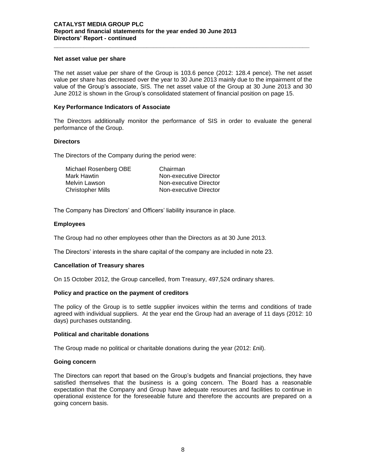#### **Net asset value per share**

The net asset value per share of the Group is 103.6 pence (2012: 128.4 pence). The net asset value per share has decreased over the year to 30 June 2013 mainly due to the impairment of the value of the Group's associate, SIS. The net asset value of the Group at 30 June 2013 and 30 June 2012 is shown in the Group's consolidated statement of financial position on page 15.

**\_\_\_\_\_\_\_\_\_\_\_\_\_\_\_\_\_\_\_\_\_\_\_\_\_\_\_\_\_\_\_\_\_\_\_\_\_\_\_\_\_\_\_\_\_\_\_\_\_\_\_\_\_\_\_\_\_\_\_\_\_\_\_\_\_\_\_\_\_\_\_\_\_\_\_\_\_**

#### **Key Performance Indicators of Associate**

The Directors additionally monitor the performance of SIS in order to evaluate the general performance of the Group.

#### **Directors**

The Directors of the Company during the period were:

| Michael Rosenberg OBE    | Chairman               |
|--------------------------|------------------------|
| Mark Hawtin              | Non-executive Director |
| Melvin Lawson            | Non-executive Director |
| <b>Christopher Mills</b> | Non-executive Director |

The Company has Directors' and Officers' liability insurance in place.

#### **Employees**

The Group had no other employees other than the Directors as at 30 June 2013.

The Directors' interests in the share capital of the company are included in note 23.

#### **Cancellation of Treasury shares**

On 15 October 2012, the Group cancelled, from Treasury, 497,524 ordinary shares.

#### **Policy and practice on the payment of creditors**

The policy of the Group is to settle supplier invoices within the terms and conditions of trade agreed with individual suppliers. At the year end the Group had an average of 11 days (2012: 10 days) purchases outstanding.

#### **Political and charitable donations**

The Group made no political or charitable donations during the year (2012: £nil).

#### **Going concern**

The Directors can report that based on the Group's budgets and financial projections, they have satisfied themselves that the business is a going concern. The Board has a reasonable expectation that the Company and Group have adequate resources and facilities to continue in operational existence for the foreseeable future and therefore the accounts are prepared on a going concern basis.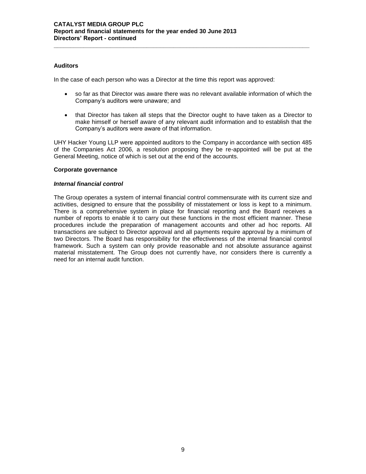#### **Auditors**

In the case of each person who was a Director at the time this report was approved:

 so far as that Director was aware there was no relevant available information of which the Company's auditors were unaware; and

**\_\_\_\_\_\_\_\_\_\_\_\_\_\_\_\_\_\_\_\_\_\_\_\_\_\_\_\_\_\_\_\_\_\_\_\_\_\_\_\_\_\_\_\_\_\_\_\_\_\_\_\_\_\_\_\_\_\_\_\_\_\_\_\_\_\_\_\_\_\_\_\_\_\_\_\_\_**

• that Director has taken all steps that the Director ought to have taken as a Director to make himself or herself aware of any relevant audit information and to establish that the Company's auditors were aware of that information.

UHY Hacker Young LLP were appointed auditors to the Company in accordance with section 485 of the Companies Act 2006, a resolution proposing they be re-appointed will be put at the General Meeting, notice of which is set out at the end of the accounts.

#### **Corporate governance**

#### *Internal financial control*

The Group operates a system of internal financial control commensurate with its current size and activities, designed to ensure that the possibility of misstatement or loss is kept to a minimum. There is a comprehensive system in place for financial reporting and the Board receives a number of reports to enable it to carry out these functions in the most efficient manner. These procedures include the preparation of management accounts and other ad hoc reports. All transactions are subject to Director approval and all payments require approval by a minimum of two Directors. The Board has responsibility for the effectiveness of the internal financial control framework. Such a system can only provide reasonable and not absolute assurance against material misstatement. The Group does not currently have, nor considers there is currently a need for an internal audit function.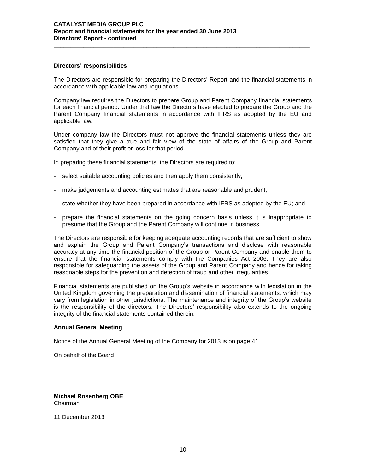#### **Directors' responsibilities**

The Directors are responsible for preparing the Directors' Report and the financial statements in accordance with applicable law and regulations.

**\_\_\_\_\_\_\_\_\_\_\_\_\_\_\_\_\_\_\_\_\_\_\_\_\_\_\_\_\_\_\_\_\_\_\_\_\_\_\_\_\_\_\_\_\_\_\_\_\_\_\_\_\_\_\_\_\_\_\_\_\_\_\_\_\_\_\_\_\_\_\_\_\_\_\_\_\_**

Company law requires the Directors to prepare Group and Parent Company financial statements for each financial period. Under that law the Directors have elected to prepare the Group and the Parent Company financial statements in accordance with IFRS as adopted by the EU and applicable law.

Under company law the Directors must not approve the financial statements unless they are satisfied that they give a true and fair view of the state of affairs of the Group and Parent Company and of their profit or loss for that period.

In preparing these financial statements, the Directors are required to:

- select suitable accounting policies and then apply them consistently;
- make judgements and accounting estimates that are reasonable and prudent;
- state whether they have been prepared in accordance with IFRS as adopted by the EU; and
- prepare the financial statements on the going concern basis unless it is inappropriate to presume that the Group and the Parent Company will continue in business.

The Directors are responsible for keeping adequate accounting records that are sufficient to show and explain the Group and Parent Company's transactions and disclose with reasonable accuracy at any time the financial position of the Group or Parent Company and enable them to ensure that the financial statements comply with the Companies Act 2006. They are also responsible for safeguarding the assets of the Group and Parent Company and hence for taking reasonable steps for the prevention and detection of fraud and other irregularities.

Financial statements are published on the Group's website in accordance with legislation in the United Kingdom governing the preparation and dissemination of financial statements, which may vary from legislation in other jurisdictions. The maintenance and integrity of the Group's website is the responsibility of the directors. The Directors' responsibility also extends to the ongoing integrity of the financial statements contained therein.

#### **Annual General Meeting**

Notice of the Annual General Meeting of the Company for 2013 is on page 41.

On behalf of the Board

**Michael Rosenberg OBE** Chairman

11 December 2013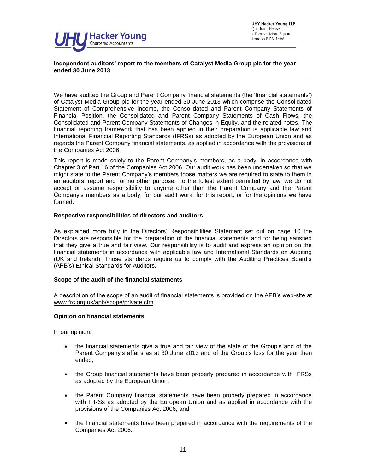

#### **Independent auditors' report to the members of Catalyst Media Group plc for the year ended 30 June 2013**

**\_\_\_\_\_\_\_\_\_\_\_\_\_\_\_\_\_\_\_\_\_\_\_\_\_\_\_\_\_\_\_\_\_\_\_\_\_\_\_\_\_\_\_\_\_\_\_\_\_\_\_\_\_\_\_\_\_\_\_\_\_\_\_\_\_\_\_\_\_\_\_\_\_\_\_\_\_**

We have audited the Group and Parent Company financial statements (the 'financial statements') of Catalyst Media Group plc for the year ended 30 June 2013 which comprise the Consolidated Statement of Comprehensive Income, the Consolidated and Parent Company Statements of Financial Position, the Consolidated and Parent Company Statements of Cash Flows, the Consolidated and Parent Company Statements of Changes in Equity, and the related notes. The financial reporting framework that has been applied in their preparation is applicable law and International Financial Reporting Standards (IFRSs) as adopted by the European Union and as regards the Parent Company financial statements, as applied in accordance with the provisions of the Companies Act 2006.

This report is made solely to the Parent Company's members, as a body, in accordance with Chapter 3 of Part 16 of the Companies Act 2006. Our audit work has been undertaken so that we might state to the Parent Company's members those matters we are required to state to them in an auditors' report and for no other purpose. To the fullest extent permitted by law, we do not accept or assume responsibility to anyone other than the Parent Company and the Parent Company's members as a body, for our audit work, for this report, or for the opinions we have formed.

#### **Respective responsibilities of directors and auditors**

As explained more fully in the Directors' Responsibilities Statement set out on page 10 the Directors are responsible for the preparation of the financial statements and for being satisfied that they give a true and fair view. Our responsibility is to audit and express an opinion on the financial statements in accordance with applicable law and International Standards on Auditing (UK and Ireland). Those standards require us to comply with the Auditing Practices Board's (APB's) Ethical Standards for Auditors.

#### **Scope of the audit of the financial statements**

A description of the scope of an audit of financial statements is provided on the APB's web-site at [www.frc.org.uk/apb/scope/private.cfm.](http://www.frc.org.uk/apb/scope/private.cfm)

#### **Opinion on financial statements**

In our opinion:

- the financial statements give a true and fair view of the state of the Group's and of the Parent Company's affairs as at 30 June 2013 and of the Group's loss for the year then ended;
- the Group financial statements have been properly prepared in accordance with IFRSs as adopted by the European Union;
- the Parent Company financial statements have been properly prepared in accordance with IFRSs as adopted by the European Union and as applied in accordance with the provisions of the Companies Act 2006; and
- the financial statements have been prepared in accordance with the requirements of the Companies Act 2006.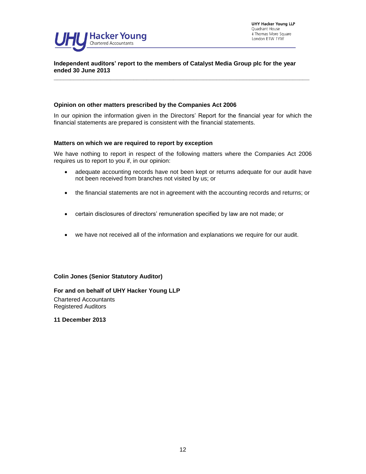

#### **Independent auditors' report to the members of Catalyst Media Group plc for the year ended 30 June 2013**

**\_\_\_\_\_\_\_\_\_\_\_\_\_\_\_\_\_\_\_\_\_\_\_\_\_\_\_\_\_\_\_\_\_\_\_\_\_\_\_\_\_\_\_\_\_\_\_\_\_\_\_\_\_\_\_\_\_\_\_\_\_\_\_\_\_\_\_\_\_\_\_\_\_\_\_\_\_**

#### **Opinion on other matters prescribed by the Companies Act 2006**

In our opinion the information given in the Directors' Report for the financial year for which the financial statements are prepared is consistent with the financial statements.

## **Matters on which we are required to report by exception**

We have nothing to report in respect of the following matters where the Companies Act 2006 requires us to report to you if, in our opinion:

- adequate accounting records have not been kept or returns adequate for our audit have not been received from branches not visited by us; or
- the financial statements are not in agreement with the accounting records and returns; or
- certain disclosures of directors' remuneration specified by law are not made; or
- we have not received all of the information and explanations we require for our audit.

#### **Colin Jones (Senior Statutory Auditor)**

#### **For and on behalf of UHY Hacker Young LLP**

Chartered Accountants Registered Auditors

**11 December 2013**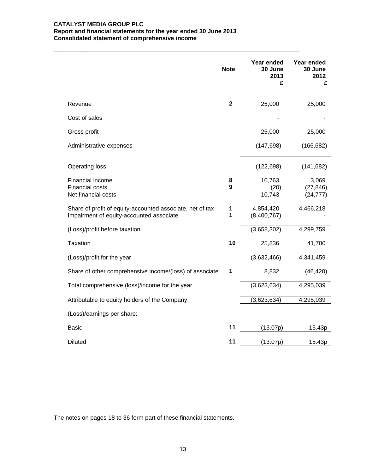#### **CATALYST MEDIA GROUP PLC Report and financial statements for the year ended 30 June 2013 Consolidated statement of comprehensive income**

**\_\_\_\_\_\_\_\_\_\_\_\_\_\_\_\_\_\_\_\_\_\_\_\_\_\_\_\_\_\_\_\_\_\_\_\_\_\_\_\_\_\_\_\_\_\_\_\_\_\_\_\_\_\_\_\_\_\_\_\_\_\_\_\_\_\_\_\_\_\_\_\_\_\_**

|                                                                                                       | <b>Note</b> | Year ended<br>30 June<br>2013<br>£ | Year ended<br>30 June<br>2012<br>£ |
|-------------------------------------------------------------------------------------------------------|-------------|------------------------------------|------------------------------------|
| Revenue                                                                                               | $\mathbf 2$ | 25,000                             | 25,000                             |
| Cost of sales                                                                                         |             |                                    |                                    |
| Gross profit                                                                                          |             | 25,000                             | 25,000                             |
| Administrative expenses                                                                               |             | (147, 698)                         | (166, 682)                         |
| Operating loss                                                                                        |             | (122, 698)                         | (141, 682)                         |
| Financial income<br><b>Financial costs</b>                                                            | 8<br>9      | 10,763<br>(20)                     | 3,069<br>(27, 846)                 |
| Net financial costs                                                                                   |             | 10,743                             | (24, 777)                          |
| Share of profit of equity-accounted associate, net of tax<br>Impairment of equity-accounted associate | 1<br>1      | 4,854,420<br>(8,400,767)           | 4,466,218                          |
| (Loss)/profit before taxation                                                                         |             | (3,658,302)                        | 4,299,759                          |
| <b>Taxation</b>                                                                                       | 10          | 25,836                             | 41,700                             |
| (Loss)/profit for the year                                                                            |             | (3,632,466)                        | 4,341,459                          |
| Share of other comprehensive income/(loss) of associate                                               | 1           | 8,832                              | (46, 420)                          |
| Total comprehensive (loss)/income for the year                                                        |             | (3,623,634)                        | 4,295,039                          |
| Attributable to equity holders of the Company                                                         |             | (3,623,634)                        | 4,295,039                          |
| (Loss)/earnings per share:                                                                            |             |                                    |                                    |
| Basic                                                                                                 | 11          | (13.07p)                           | 15.43p                             |
| <b>Diluted</b>                                                                                        | 11          | (13.07p)                           | 15.43p                             |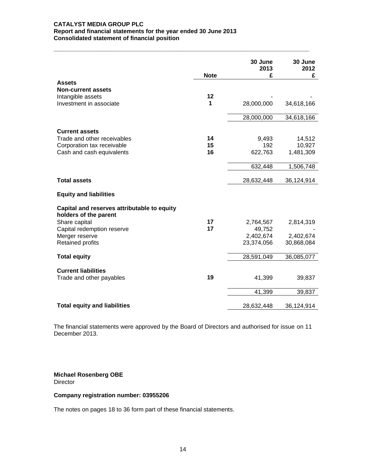#### **CATALYST MEDIA GROUP PLC Report and financial statements for the year ended 30 June 2013 Consolidated statement of financial position**

|                                                                      | <b>Note</b> | 30 June<br>2013<br>£ | 30 June<br>2012<br>£ |
|----------------------------------------------------------------------|-------------|----------------------|----------------------|
| <b>Assets</b>                                                        |             |                      |                      |
| <b>Non-current assets</b>                                            |             |                      |                      |
| Intangible assets                                                    | 12          |                      |                      |
| Investment in associate                                              | 1           | 28,000,000           | 34,618,166           |
|                                                                      |             | 28,000,000           | 34,618,166           |
| <b>Current assets</b>                                                |             |                      |                      |
| Trade and other receivables                                          | 14          | 9,493                | 14,512               |
| Corporation tax receivable                                           | 15          | 192                  | 10,927               |
| Cash and cash equivalents                                            | 16          | 622,763              | 1,481,309            |
|                                                                      |             | 632,448              | 1,506,748            |
| <b>Total assets</b>                                                  |             | 28,632,448           | 36,124,914           |
| <b>Equity and liabilities</b>                                        |             |                      |                      |
| Capital and reserves attributable to equity<br>holders of the parent |             |                      |                      |
| Share capital                                                        | 17          | 2,764,567            | 2,814,319            |
| Capital redemption reserve                                           | 17          | 49,752               |                      |
| Merger reserve                                                       |             | 2,402,674            | 2,402,674            |
| Retained profits                                                     |             | 23,374,056           | 30,868,084           |
| <b>Total equity</b>                                                  |             | 28,591,049           | 36,085,077           |
| <b>Current liabilities</b>                                           |             |                      |                      |
| Trade and other payables                                             | 19          | 41,399               | 39,837               |
|                                                                      |             | 41,399               | 39,837               |
| <b>Total equity and liabilities</b>                                  |             | 28,632,448           | 36,124,914           |

**\_\_\_\_\_\_\_\_\_\_\_\_\_\_\_\_\_\_\_\_\_\_\_\_\_\_\_\_\_\_\_\_\_\_\_\_\_\_\_\_\_\_\_\_\_\_\_\_\_\_\_\_\_\_\_\_\_\_\_\_\_\_\_\_\_\_\_\_\_\_\_\_\_\_\_\_\_**

The financial statements were approved by the Board of Directors and authorised for issue on 11 December 2013.

#### **Michael Rosenberg OBE Director**

#### **Company registration number: 03955206**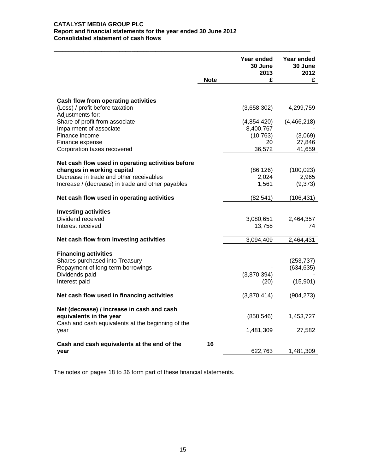#### **CATALYST MEDIA GROUP PLC Report and financial statements for the year ended 30 June 2012 Consolidated statement of cash flows**

|                                                           | <b>Note</b> | Year ended<br>30 June<br>2013<br>£ | Year ended<br>30 June<br>2012<br>£ |
|-----------------------------------------------------------|-------------|------------------------------------|------------------------------------|
|                                                           |             |                                    |                                    |
| Cash flow from operating activities                       |             |                                    |                                    |
| (Loss) / profit before taxation                           |             | (3,658,302)                        | 4,299,759                          |
| Adjustments for:                                          |             |                                    |                                    |
| Share of profit from associate<br>Impairment of associate |             | (4,854,420)<br>8,400,767           | (4,466,218)                        |
| Finance income                                            |             | (10, 763)                          | (3,069)                            |
| Finance expense                                           |             | 20                                 | 27,846                             |
| Corporation taxes recovered                               |             | 36,572                             | 41,659                             |
| Net cash flow used in operating activities before         |             |                                    |                                    |
| changes in working capital                                |             | (86, 126)                          | (100, 023)                         |
| Decrease in trade and other receivables                   |             | 2,024                              | 2,965                              |
| Increase / (decrease) in trade and other payables         |             | 1,561                              | (9,373)                            |
| Net cash flow used in operating activities                |             | (82, 541)                          | (106, 431)                         |
| <b>Investing activities</b>                               |             |                                    |                                    |
| Dividend received                                         |             | 3,080,651                          | 2,464,357                          |
| Interest received                                         |             | 13,758                             | 74                                 |
| Net cash flow from investing activities                   |             | 3,094,409                          | 2,464,431                          |
| <b>Financing activities</b>                               |             |                                    |                                    |
| Shares purchased into Treasury                            |             |                                    | (253, 737)                         |
| Repayment of long-term borrowings                         |             |                                    | (634, 635)                         |
| Dividends paid                                            |             | (3,870,394)                        |                                    |
| Interest paid                                             |             | (20)                               | (15, 901)                          |
| Net cash flow used in financing activities                |             | (3,870,414)                        | (904, 273)                         |
| Net (decrease) / increase in cash and cash                |             |                                    |                                    |
| equivalents in the year                                   |             | (858, 546)                         | 1,453,727                          |
| Cash and cash equivalents at the beginning of the         |             |                                    |                                    |
| year                                                      |             | 1,481,309                          | 27,582                             |
| Cash and cash equivalents at the end of the               | 16          |                                    |                                    |
| year                                                      |             | 622,763                            | 1,481,309                          |

**\_\_\_\_\_\_\_\_\_\_\_\_\_\_\_\_\_\_\_\_\_\_\_\_\_\_\_\_\_\_\_\_\_\_\_\_\_\_\_\_\_\_\_\_\_\_\_\_\_\_\_\_\_\_\_\_\_\_\_\_\_\_\_\_\_\_\_\_\_\_\_\_\_\_\_\_\_\_\_\_\_\_\_\_\_\_**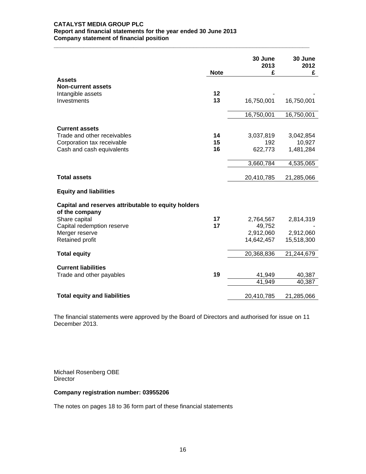#### **CATALYST MEDIA GROUP PLC Report and financial statements for the year ended 30 June 2013 Company statement of financial position**

|                                                                       | <b>Note</b> | 30 June<br>2013<br>£ | 30 June<br>2012<br>£ |
|-----------------------------------------------------------------------|-------------|----------------------|----------------------|
| <b>Assets</b>                                                         |             |                      |                      |
| <b>Non-current assets</b>                                             |             |                      |                      |
| Intangible assets                                                     | 12          |                      |                      |
| Investments                                                           | 13          | 16,750,001           | 16,750,001           |
|                                                                       |             | 16,750,001           | 16,750,001           |
| <b>Current assets</b>                                                 |             |                      |                      |
| Trade and other receivables                                           | 14          | 3,037,819            | 3,042,854            |
| Corporation tax receivable                                            | 15          | 192                  | 10,927               |
| Cash and cash equivalents                                             | 16          | 622,773              | 1,481,284            |
|                                                                       |             | 3,660,784            | 4,535,065            |
| <b>Total assets</b>                                                   |             | 20,410,785           | 21,285,066           |
| <b>Equity and liabilities</b>                                         |             |                      |                      |
| Capital and reserves attributable to equity holders<br>of the company |             |                      |                      |
| Share capital                                                         | 17          | 2,764,567            | 2,814,319            |
| Capital redemption reserve                                            | 17          | 49,752               |                      |
| Merger reserve                                                        |             | 2,912,060            | 2,912,060            |
| Retained profit                                                       |             | 14,642,457           | 15,518,300           |
| <b>Total equity</b>                                                   |             | 20,368,836           | 21,244,679           |
| <b>Current liabilities</b>                                            |             |                      |                      |
| Trade and other payables                                              | 19          | 41,949               | 40,387               |
|                                                                       |             | 41,949               | 40,387               |
| <b>Total equity and liabilities</b>                                   |             | 20,410,785           | 21,285,066           |

**\_\_\_\_\_\_\_\_\_\_\_\_\_\_\_\_\_\_\_\_\_\_\_\_\_\_\_\_\_\_\_\_\_\_\_\_\_\_\_\_\_\_\_\_\_\_\_\_\_\_\_\_\_\_\_\_\_\_\_\_\_\_\_\_\_\_\_\_\_\_\_\_\_\_\_\_\_**

The financial statements were approved by the Board of Directors and authorised for issue on 11 December 2013.

Michael Rosenberg OBE Director

#### **Company registration number: 03955206**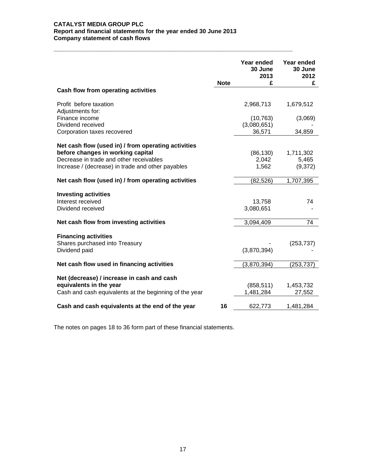#### **CATALYST MEDIA GROUP PLC Report and financial statements for the year ended 30 June 2013 Company statement of cash flows**

**\_\_\_\_\_\_\_\_\_\_\_\_\_\_\_\_\_\_\_\_\_\_\_\_\_\_\_\_\_\_\_\_\_\_\_\_\_\_\_\_\_\_\_\_\_\_\_\_\_\_\_\_\_\_\_\_\_\_\_\_\_\_\_\_\_\_\_\_\_\_\_\_**

|                                                        | <b>Note</b> | Year ended<br>30 June<br>2013<br>£ | Year ended<br>30 June<br>2012<br>£ |
|--------------------------------------------------------|-------------|------------------------------------|------------------------------------|
| Cash flow from operating activities                    |             |                                    |                                    |
| Profit before taxation<br>Adjustments for:             |             | 2,968,713                          | 1,679,512                          |
| Finance income                                         |             | (10, 763)                          | (3,069)                            |
| Dividend received                                      |             | (3,080,651)                        |                                    |
| Corporation taxes recovered                            |             | 36,571                             | 34,859                             |
| Net cash flow (used in) / from operating activities    |             |                                    |                                    |
| before changes in working capital                      |             | (86, 130)                          | 1,711,302                          |
| Decrease in trade and other receivables                |             | 2,042                              | 5,465                              |
| Increase / (decrease) in trade and other payables      |             | 1,562                              | (9,372)                            |
| Net cash flow (used in) / from operating activities    |             | (82, 526)                          | 1,707,395                          |
| <b>Investing activities</b>                            |             |                                    |                                    |
| Interest received                                      |             | 13,758                             | 74                                 |
| Dividend received                                      |             | 3,080,651                          |                                    |
| Net cash flow from investing activities                |             | 3,094,409                          | 74                                 |
| <b>Financing activities</b>                            |             |                                    |                                    |
| Shares purchased into Treasury                         |             |                                    | (253, 737)                         |
| Dividend paid                                          |             | (3,870,394)                        |                                    |
| Net cash flow used in financing activities             |             | (3,870,394)                        | (253, 737)                         |
|                                                        |             |                                    |                                    |
| Net (decrease) / increase in cash and cash             |             |                                    |                                    |
| equivalents in the year                                |             | (858, 511)                         | 1,453,732                          |
| Cash and cash equivalents at the beginning of the year |             | 1,481,284                          | 27,552                             |
| Cash and cash equivalents at the end of the year       | 16          | 622,773                            | 1,481,284                          |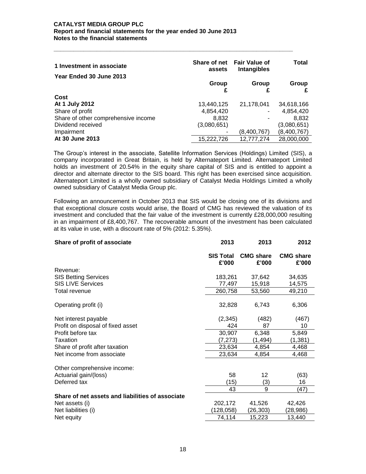| 1 Investment in associate           | <b>Share of net</b><br>assets | <b>Fair Value of</b><br><b>Intangibles</b> | Total       |
|-------------------------------------|-------------------------------|--------------------------------------------|-------------|
| Year Ended 30 June 2013             |                               |                                            |             |
|                                     | Group                         | Group<br>£                                 | Group       |
| Cost                                |                               |                                            |             |
| At 1 July 2012                      | 13,440,125                    | 21,178,041                                 | 34,618,166  |
| Share of profit                     | 4,854,420                     |                                            | 4,854,420   |
| Share of other comprehensive income | 8,832                         |                                            | 8,832       |
| Dividend received                   | (3,080,651)                   |                                            | (3,080,651) |
| Impairment                          |                               | (8,400,767)                                | (8,400,767) |
| At 30 June 2013                     | 15,222,726                    | 12,777,274                                 | 28,000,000  |

**\_\_\_\_\_\_\_\_\_\_\_\_\_\_\_\_\_\_\_\_\_\_\_\_\_\_\_\_\_\_\_\_\_\_\_\_\_\_\_\_\_\_\_\_\_\_\_\_\_\_\_\_\_\_\_\_\_\_\_\_\_\_\_\_\_\_\_\_\_\_\_\_**

The Group's interest in the associate, Satellite Information Services (Holdings) Limited (SIS), a company incorporated in Great Britain, is held by Alternateport Limited. Alternateport Limited holds an investment of 20.54% in the equity share capital of SIS and is entitled to appoint a director and alternate director to the SIS board. This right has been exercised since acquisition. Alternateport Limited is a wholly owned subsidiary of Catalyst Media Holdings Limited a wholly owned subsidiary of Catalyst Media Group plc.

Following an announcement in October 2013 that SIS would be closing one of its divisions and that exceptional closure costs would arise, the Board of CMG has reviewed the valuation of its investment and concluded that the fair value of the investment is currently £28,000,000 resulting in an impairment of £8,400,767. The recoverable amount of the investment has been calculated at its value in use, with a discount rate of 5% (2012: 5.35%).

| Share of profit of associate                     | 2013                      | 2013                      | 2012                      |
|--------------------------------------------------|---------------------------|---------------------------|---------------------------|
|                                                  | <b>SIS Total</b><br>£'000 | <b>CMG share</b><br>£'000 | <b>CMG share</b><br>£'000 |
| Revenue:                                         |                           |                           |                           |
| <b>SIS Betting Services</b>                      | 183,261                   | 37,642                    | 34,635                    |
| <b>SIS LIVE Services</b>                         | 77,497                    | 15,918                    | 14,575                    |
| Total revenue                                    | 260,758                   | 53,560                    | 49,210                    |
| Operating profit (i)                             | 32,828                    | 6,743                     | 6,306                     |
| Net interest payable                             | (2, 345)                  | (482)                     | (467)                     |
| Profit on disposal of fixed asset                | 424                       | 87                        | 10                        |
| Profit before tax                                | 30,907                    | 6,348                     | 5,849                     |
| Taxation                                         | (7, 273)                  | (1, 494)                  | (1, 381)                  |
| Share of profit after taxation                   | 23,634                    | 4,854                     | 4,468                     |
| Net income from associate                        | 23,634                    | 4,854                     | 4,468                     |
| Other comprehensive income:                      |                           |                           |                           |
| Actuarial gain/(loss)                            | 58                        | 12                        | (63)                      |
| Deferred tax                                     | (15)                      | (3)                       | 16                        |
|                                                  | 43                        | 9                         | (47)                      |
| Share of net assets and liabilities of associate |                           |                           |                           |
| Net assets (i)                                   | 202,172                   | 41,526                    | 42,426                    |
| Net liabilities (i)                              | (128, 058)                | (26,303)                  | (28,986)                  |
| Net equity                                       | 74,114                    | 15,223                    | 13,440                    |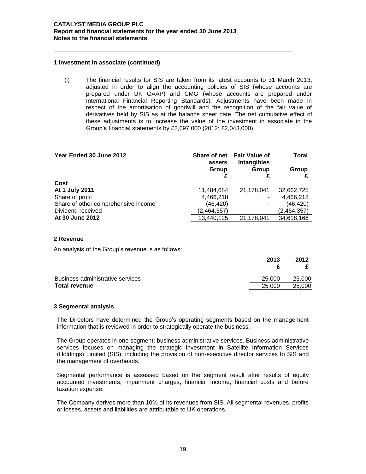#### **1 Investment in associate (continued)**

(i) The financial results for SIS are taken from its latest accounts to 31 March 2013, adjusted in order to align the accounting policies of SIS (whose accounts are prepared under UK GAAP) and CMG (whose accounts are prepared under International Financial Reporting Standards). Adjustments have been made in respect of the amortisation of goodwill and the recognition of the fair value of derivatives held by SIS as at the balance sheet date. The net cumulative effect of these adjustments is to increase the value of the investment in associate in the Group's financial statements by £2,697,000 (2012: £2,043,000).

**\_\_\_\_\_\_\_\_\_\_\_\_\_\_\_\_\_\_\_\_\_\_\_\_\_\_\_\_\_\_\_\_\_\_\_\_\_\_\_\_\_\_\_\_\_\_\_\_\_\_\_\_\_\_\_\_\_\_\_\_\_\_\_\_\_\_\_\_\_\_\_\_**

| Year Ended 30 June 2012             | Share of net<br>assets<br>Group | <b>Fair Value of</b><br>Intangibles<br>Group | Total<br>Group |
|-------------------------------------|---------------------------------|----------------------------------------------|----------------|
| Cost                                |                                 |                                              |                |
| At 1 July 2011                      | 11,484,684                      | 21,178,041                                   | 32,662,725     |
| Share of profit                     | 4,466,218                       | ٠                                            | 4,466,218      |
| Share of other comprehensive income | (46, 420)                       | ۰                                            | (46, 420)      |
| Dividend received                   | (2,464,357)                     | ٠                                            | (2,464,357)    |
| At 30 June 2012                     | 13,440,125                      | 21.178.041                                   | 34,618,166     |

#### **2 Revenue**

An analysis of the Group's revenue is as follows:

|                                  | 2013   | 2012   |
|----------------------------------|--------|--------|
| Business administrative services | 25,000 | 25,000 |
| <b>Total revenue</b>             | 25,000 | 25,000 |

#### **3 Segmental analysis**

The Directors have determined the Group's operating segments based on the management information that is reviewed in order to strategically operate the business.

The Group operates in one segment; business administrative services. Business administrative services focuses on managing the strategic investment in Satellite Information Services (Holdings) Limited (SIS), including the provision of non-executive director services to SIS and the management of overheads.

Segmental performance is assessed based on the segment result after results of equity accounted investments, impairment charges, financial income, financial costs and before taxation expense.

The Company derives more than 10% of its revenues from SIS. All segmental revenues, profits or losses, assets and liabilities are attributable to UK operations.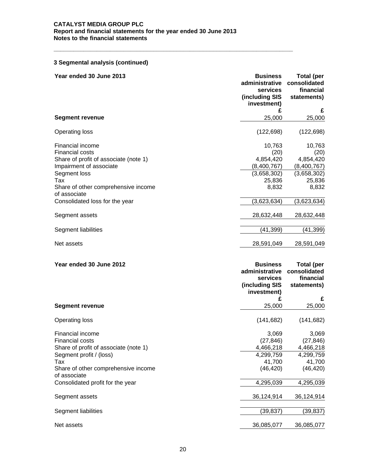**\_\_\_\_\_\_\_\_\_\_\_\_\_\_\_\_\_\_\_\_\_\_\_\_\_\_\_\_\_\_\_\_\_\_\_\_\_\_\_\_\_\_\_\_\_\_\_\_\_\_\_\_\_\_\_\_\_\_\_\_\_\_\_\_\_\_\_\_\_\_\_\_**

## **3 Segmental analysis (continued)**

| Year ended 30 June 2013                             | <b>Business</b><br>administrative<br>services<br>(including SIS<br>investment) | <b>Total (per</b><br>consolidated<br>financial<br>statements) |
|-----------------------------------------------------|--------------------------------------------------------------------------------|---------------------------------------------------------------|
|                                                     | £                                                                              | £                                                             |
| <b>Segment revenue</b>                              | 25,000                                                                         | 25,000                                                        |
| <b>Operating loss</b>                               | (122, 698)                                                                     | (122, 698)                                                    |
| Financial income                                    | 10,763                                                                         | 10,763                                                        |
| <b>Financial costs</b>                              | (20)                                                                           | (20)                                                          |
| Share of profit of associate (note 1)               | 4,854,420                                                                      | 4,854,420                                                     |
| Impairment of associate                             | (8,400,767)                                                                    | (8,400,767)                                                   |
| Segment loss                                        | (3,658,302)                                                                    | (3,658,302)                                                   |
| Tax                                                 | 25,836                                                                         | 25,836                                                        |
| Share of other comprehensive income                 | 8,832                                                                          | 8,832                                                         |
| of associate                                        |                                                                                |                                                               |
| Consolidated loss for the year                      | (3,623,634)                                                                    | (3,623,634)                                                   |
| Segment assets                                      | 28,632,448                                                                     | 28,632,448                                                    |
| Segment liabilities                                 | (41, 399)                                                                      | (41,3 <u>99)</u>                                              |
| Net assets                                          | 28,591,049                                                                     | 28,591,049                                                    |
| Year ended 30 June 2012                             | <b>Business</b><br>administrative<br>services                                  | <b>Total (per</b><br>consolidated<br>financial                |
|                                                     | (including SIS<br>investment)                                                  | statements)                                                   |
|                                                     | £                                                                              | £                                                             |
| <b>Segment revenue</b>                              | 25,000                                                                         | 25,000                                                        |
| <b>Operating loss</b>                               | (141, 682)                                                                     | (141, 682)                                                    |
| Financial income                                    | 3,069                                                                          | 3,069                                                         |
| <b>Financial costs</b>                              | (27, 846)                                                                      | (27, 846)                                                     |
| Share of profit of associate (note 1)               | 4,466,218                                                                      | 4,466,218                                                     |
| Segment profit / (loss)                             | 4,299,759                                                                      | 4,299,759                                                     |
| Tax                                                 | 41,700                                                                         | 41,700                                                        |
| Share of other comprehensive income<br>of associate | (46, 420)                                                                      | (46, 420)                                                     |
| Consolidated profit for the year                    | 4,295,039                                                                      | 4,295,039                                                     |
| Segment assets                                      | 36,124,914                                                                     | 36,124,914                                                    |
| Segment liabilities                                 | (39,837)                                                                       | (39,837)                                                      |
| Net assets                                          | 36,085,077                                                                     | 36,085,077                                                    |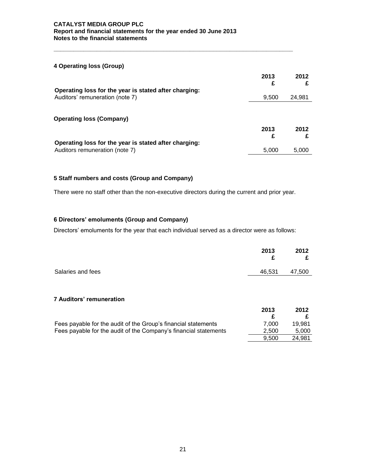#### **4 Operating loss (Group)**

|                                                                                          | 2013<br>£ | 2012   |
|------------------------------------------------------------------------------------------|-----------|--------|
| Operating loss for the year is stated after charging:<br>Auditors' remuneration (note 7) | 9,500     | 24,981 |
| <b>Operating loss (Company)</b>                                                          |           |        |
|                                                                                          | 2013<br>£ | 2012   |
| Operating loss for the year is stated after charging:<br>Auditors remuneration (note 7)  | 5,000     | 5,000  |

**\_\_\_\_\_\_\_\_\_\_\_\_\_\_\_\_\_\_\_\_\_\_\_\_\_\_\_\_\_\_\_\_\_\_\_\_\_\_\_\_\_\_\_\_\_\_\_\_\_\_\_\_\_\_\_\_\_\_\_\_\_\_\_\_\_\_\_\_\_\_\_\_**

## **5 Staff numbers and costs (Group and Company)**

There were no staff other than the non-executive directors during the current and prior year.

#### **6 Directors' emoluments (Group and Company)**

Directors' emoluments for the year that each individual served as a director were as follows:

|                                                                  | 2013<br>£ | 2012   |
|------------------------------------------------------------------|-----------|--------|
| Salaries and fees                                                | 46,531    | 47,500 |
|                                                                  |           |        |
| 7 Auditors' remuneration                                         |           |        |
|                                                                  | 2013      | 2012   |
|                                                                  | £         |        |
| Fees payable for the audit of the Group's financial statements   | 7,000     | 19,981 |
| Fees payable for the audit of the Company's financial statements | 2,500     | 5,000  |
|                                                                  | 9,500     | 24,981 |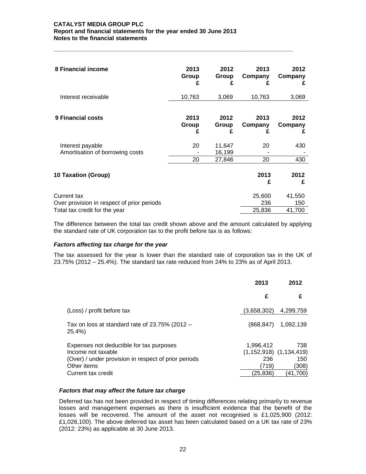| 8 Financial income                                                                         | 2013<br>Group<br>£ | 2012<br>Group<br>£         | 2013<br>Company<br>£    | 2012<br>Company<br>£    |
|--------------------------------------------------------------------------------------------|--------------------|----------------------------|-------------------------|-------------------------|
| Interest receivable                                                                        | 10,763             | 3,069                      | 10,763                  | 3,069                   |
| 9 Financial costs                                                                          | 2013<br>Group<br>£ | 2012<br>Group<br>£         | 2013<br>Company<br>£    | 2012<br>Company<br>£    |
| Interest payable<br>Amortisation of borrowing costs                                        | 20<br>20           | 11,647<br>16,199<br>27,846 | 20<br>20                | 430<br>430              |
| 10 Taxation (Group)                                                                        |                    |                            | 2013<br>£               | 2012<br>£               |
| Current tax<br>Over provision in respect of prior periods<br>Total tax credit for the year |                    |                            | 25,600<br>236<br>25,836 | 41,550<br>150<br>41,700 |
|                                                                                            |                    |                            |                         |                         |

**\_\_\_\_\_\_\_\_\_\_\_\_\_\_\_\_\_\_\_\_\_\_\_\_\_\_\_\_\_\_\_\_\_\_\_\_\_\_\_\_\_\_\_\_\_\_\_\_\_\_\_\_\_\_\_\_\_\_\_\_\_\_\_\_\_\_\_\_\_\_\_\_**

The difference between the total tax credit shown above and the amount calculated by applying the standard rate of UK corporation tax to the profit before tax is as follows:

#### *Factors affecting tax charge for the year*

The tax assessed for the year is lower than the standard rate of corporation tax in the UK of 23.75% (2012 – 25.4%). The standard tax rate reduced from 24% to 23% as of April 2013.

|                                                                                                                                       | 2013                      | 2012                                                   |
|---------------------------------------------------------------------------------------------------------------------------------------|---------------------------|--------------------------------------------------------|
|                                                                                                                                       | £                         | £                                                      |
| (Loss) / profit before tax                                                                                                            | (3,658,302)               | 4.299.759                                              |
| Tax on loss at standard rate of $23.75\%$ (2012 –<br>25.4%)                                                                           | (868, 847)                | 1.092.139                                              |
| Expenses not deductible for tax purposes<br>Income not taxable<br>(Over) / under provision in respect of prior periods<br>Other items | 1,996,412<br>236<br>(719) | 738<br>$(1, 152, 918)$ $(1, 134, 419)$<br>150<br>(308) |
| Current tax credit                                                                                                                    | (25,836)                  | (41,700)                                               |

#### *Factors that may affect the future tax charge*

Deferred tax has not been provided in respect of timing differences relating primarily to revenue losses and management expenses as there is insufficient evidence that the benefit of the losses will be recovered. The amount of the asset not recognised is £1,025,900 (2012: £1,026,100). The above deferred tax asset has been calculated based on a UK tax rate of 23% (2012: 23%) as applicable at 30 June 2013.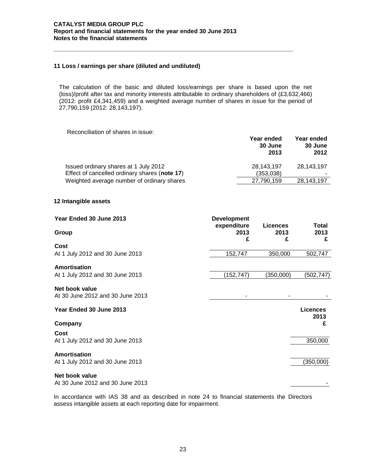#### **11 Loss / earnings per share (diluted and undiluted)**

The calculation of the basic and diluted loss/earnings per share is based upon the net (loss)/profit after tax and minority interests attributable to ordinary shareholders of (£3,632,466) (2012: profit £4,341,459) and a weighted average number of shares in issue for the period of 27,790,159 (2012: 28,143,197).

**\_\_\_\_\_\_\_\_\_\_\_\_\_\_\_\_\_\_\_\_\_\_\_\_\_\_\_\_\_\_\_\_\_\_\_\_\_\_\_\_\_\_\_\_\_\_\_\_\_\_\_\_\_\_\_\_\_\_\_\_\_\_\_\_\_\_\_\_\_\_\_\_**

Reconciliation of shares in issue:

|                                               | Year ended<br>30 June<br>2013 | Year ended<br><b>30 June</b><br>2012 |
|-----------------------------------------------|-------------------------------|--------------------------------------|
| Issued ordinary shares at 1 July 2012         | 28.143.197                    | 28.143.197                           |
| Effect of cancelled ordinary shares (note 17) | (353,038)                     |                                      |
| Weighted average number of ordinary shares    | 27,790,159                    | 28,143,197                           |

#### **12 Intangible assets**

| Year Ended 30 June 2013                            | <b>Development</b>       |                              |                         |
|----------------------------------------------------|--------------------------|------------------------------|-------------------------|
| Group                                              | expenditure<br>2013<br>£ | <b>Licences</b><br>2013<br>£ | Total<br>2013<br>£      |
| Cost                                               |                          |                              |                         |
| At 1 July 2012 and 30 June 2013                    | 152,747                  | 350,000                      | 502,747                 |
| Amortisation                                       |                          |                              |                         |
| At 1 July 2012 and 30 June 2013                    | (152, 747)               | (350,000)                    | (502, 747)              |
| Net book value<br>At 30 June 2012 and 30 June 2013 |                          |                              |                         |
| Year Ended 30 June 2013                            |                          |                              | <b>Licences</b><br>2013 |
| Company                                            |                          |                              | £                       |
| Cost                                               |                          |                              |                         |
| At 1 July 2012 and 30 June 2013                    |                          |                              | 350,000                 |
| Amortisation                                       |                          |                              |                         |
| At 1 July 2012 and 30 June 2013                    |                          |                              | (350,000)               |
| Net book value<br>At 30 June 2012 and 30 June 2013 |                          |                              |                         |

In accordance with IAS 38 and as described in note 24 to financial statements the Directors assess intangible assets at each reporting date for impairment.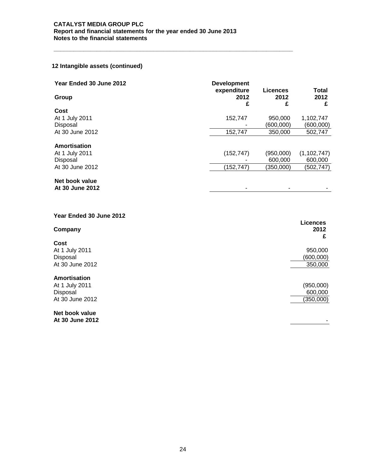**\_\_\_\_\_\_\_\_\_\_\_\_\_\_\_\_\_\_\_\_\_\_\_\_\_\_\_\_\_\_\_\_\_\_\_\_\_\_\_\_\_\_\_\_\_\_\_\_\_\_\_\_\_\_\_\_\_\_\_\_\_\_\_\_\_\_\_\_\_\_\_\_**

## **12 Intangible assets (continued)**

| Year Ended 30 June 2012 | <b>Development</b>  |                  |               |
|-------------------------|---------------------|------------------|---------------|
| Group                   | expenditure<br>2012 | Licences<br>2012 | Total<br>2012 |
|                         | £                   | £                | £             |
| Cost                    |                     |                  |               |
| At 1 July 2011          | 152.747             | 950,000          | 1,102,747     |
| Disposal                |                     | (600,000)        | (600,000)     |
| At 30 June 2012         | 152,747             | 350,000          | 502,747       |
| Amortisation            |                     |                  |               |
| At 1 July 2011          | (152, 747)          | (950,000)        | (1, 102, 747) |
| Disposal                |                     | 600,000          | 600,000       |
| At 30 June 2012         | (152,747)           | (350,000)        | (502, 747)    |
| Not hook volus          |                     |                  |               |

**Net book value**

**At 30 June 2012** - - -

# **Year Ended 30 June 2012**

| Company         | <b>Licences</b><br>2012<br>£ |
|-----------------|------------------------------|
| <b>Cost</b>     |                              |
| At 1 July 2011  | 950,000                      |
| Disposal        | (600,000)                    |
| At 30 June 2012 | 350,000                      |
| Amortisation    |                              |
| At 1 July 2011  | (950,000)                    |
| Disposal        | 600,000                      |
| At 30 June 2012 | (350,000)                    |
| Net book value  |                              |
| At 30 June 2012 |                              |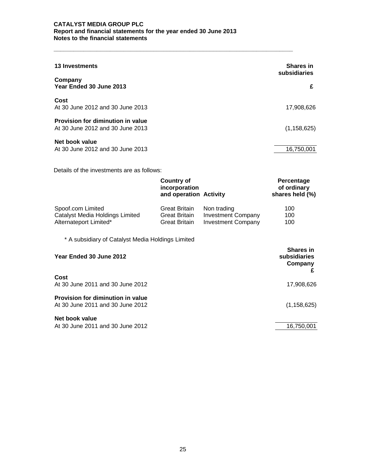| <b>Shares in</b><br><b>subsidiaries</b> |
|-----------------------------------------|
| £                                       |
| 17,908,626                              |
| (1, 158, 625)                           |
| 16,750,001                              |
|                                         |

**\_\_\_\_\_\_\_\_\_\_\_\_\_\_\_\_\_\_\_\_\_\_\_\_\_\_\_\_\_\_\_\_\_\_\_\_\_\_\_\_\_\_\_\_\_\_\_\_\_\_\_\_\_\_\_\_\_\_\_\_\_\_\_\_\_\_\_\_\_\_\_\_**

Details of the investments are as follows:

|                                                                                | <b>Country of</b><br>incorporation<br>and operation Activity |                                                                       | Percentage<br>of ordinary<br>shares held (%) |
|--------------------------------------------------------------------------------|--------------------------------------------------------------|-----------------------------------------------------------------------|----------------------------------------------|
| Spoof.com Limited<br>Catalyst Media Holdings Limited<br>Alternateport Limited* | Great Britain<br>Great Britain<br>Great Britain              | Non trading<br><b>Investment Company</b><br><b>Investment Company</b> | 100<br>100<br>100                            |
| * A subsidiary of Catalyst Media Holdings Limited                              |                                                              |                                                                       |                                              |
| Year Ended 30 June 2012                                                        |                                                              |                                                                       | Shares in<br><b>subsidiaries</b><br>Company  |
| Cost<br>At 30 June 2011 and 30 June 2012                                       |                                                              |                                                                       | £<br>17,908,626                              |
| Provision for diminution in value<br>At 30 June 2011 and 30 June 2012          |                                                              |                                                                       | (1, 158, 625)                                |

# **Net book value**

At 30 June 2011 and 30 June 2012 16,750,001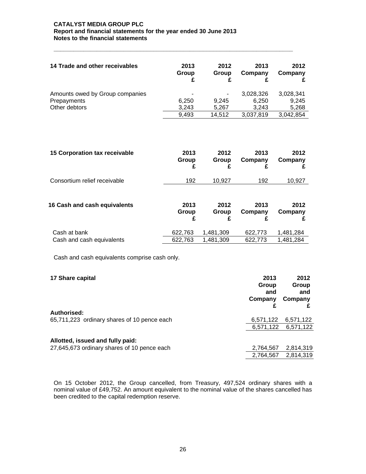| 14 Trade and other receivables  | 2013<br>Group | 2012<br>Group | 2013<br>Company | 2012<br>Company |
|---------------------------------|---------------|---------------|-----------------|-----------------|
| Amounts owed by Group companies |               |               | 3,028,326       | 3,028,341       |
| Prepayments                     | 6.250         | 9.245         | 6.250           | 9.245           |
| Other debtors                   | 3.243         | 5.267         | 3.243           | 5,268           |
|                                 | 9.493         | 14.512        | 3,037,819       | 3,042,854       |

**\_\_\_\_\_\_\_\_\_\_\_\_\_\_\_\_\_\_\_\_\_\_\_\_\_\_\_\_\_\_\_\_\_\_\_\_\_\_\_\_\_\_\_\_\_\_\_\_\_\_\_\_\_\_\_\_\_\_\_\_\_\_\_\_\_\_\_\_\_\_\_\_**

| <b>15 Corporation tax receivable</b> | 2013<br>Group<br>£ | 2012<br>Group<br>£ | 2013<br>Company<br>£ | 2012<br>Company |
|--------------------------------------|--------------------|--------------------|----------------------|-----------------|
| Consortium relief receivable         | 192                | 10,927             | 192                  | 10,927          |
| 16 Cash and cash equivalents         | 2013<br>Group      | 2012<br>Group      | 2013<br>Company<br>£ | 2012<br>Company |
| Cash at bank                         | 622,763            | 1,481,309          | 622,773              | 1,481,284       |
| Cash and cash equivalents            | 622,763            | 1,481,309          | 622,773              | 1,481,284       |

Cash and cash equivalents comprise cash only.

| 17 Share capital                            | 2013<br>Group<br>and<br>Company | 2012<br>Group<br>and<br>Company |
|---------------------------------------------|---------------------------------|---------------------------------|
| Authorised:                                 |                                 |                                 |
| 65,711,223 ordinary shares of 10 pence each | 6,571,122                       | 6,571,122                       |
|                                             | 6,571,122                       | 6,571,122                       |
| Allotted, issued and fully paid:            |                                 |                                 |
| 27,645,673 ordinary shares of 10 pence each | 2,764,567                       | 2,814,319                       |
|                                             | 2,764,567                       | 2,814,319                       |
|                                             |                                 |                                 |

On 15 October 2012, the Group cancelled, from Treasury, 497,524 ordinary shares with a nominal value of £49,752. An amount equivalent to the nominal value of the shares cancelled has been credited to the capital redemption reserve.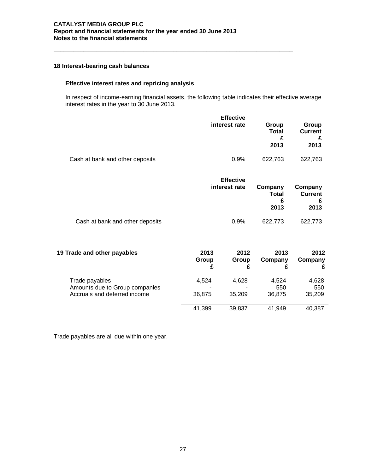## **18 Interest-bearing cash balances**

#### **Effective interest rates and repricing analysis**

In respect of income-earning financial assets, the following table indicates their effective average interest rates in the year to 30 June 2013.

**\_\_\_\_\_\_\_\_\_\_\_\_\_\_\_\_\_\_\_\_\_\_\_\_\_\_\_\_\_\_\_\_\_\_\_\_\_\_\_\_\_\_\_\_\_\_\_\_\_\_\_\_\_\_\_\_\_\_\_\_\_\_\_\_\_\_\_\_\_\_\_\_**

|                                 | <b>Effective</b><br>interest rate | Group<br>Total<br>£<br>2013          | Group<br><b>Current</b><br>£<br>2013   |
|---------------------------------|-----------------------------------|--------------------------------------|----------------------------------------|
| Cash at bank and other deposits | 0.9%                              | 622,763                              | 622,763                                |
|                                 | <b>Effective</b><br>interest rate | Company<br><b>Total</b><br>£<br>2013 | Company<br><b>Current</b><br>£<br>2013 |
| Cash at bank and other deposits | $0.9\%$                           | 622,773                              | 622,773                                |

| 19 Trade and other payables    | 2013<br>Group | 2012<br>Group | 2013<br>Company | 2012<br>Company |
|--------------------------------|---------------|---------------|-----------------|-----------------|
| Trade payables                 | 4.524         | 4.628         | 4.524           | 4,628           |
| Amounts due to Group companies | ۰             | ٠             | 550             | 550             |
| Accruals and deferred income   | 36,875        | 35,209        | 36.875          | 35,209          |
|                                | 41,399        | 39,837        | 41.949          | 40,387          |
|                                |               |               |                 |                 |

Trade payables are all due within one year.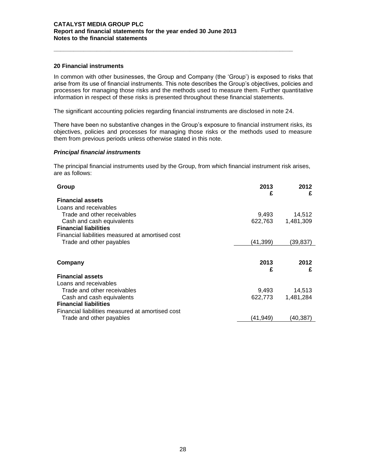#### **20 Financial instruments**

In common with other businesses, the Group and Company (the 'Group') is exposed to risks that arise from its use of financial instruments. This note describes the Group's objectives, policies and processes for managing those risks and the methods used to measure them. Further quantitative information in respect of these risks is presented throughout these financial statements.

The significant accounting policies regarding financial instruments are disclosed in note 24.

**\_\_\_\_\_\_\_\_\_\_\_\_\_\_\_\_\_\_\_\_\_\_\_\_\_\_\_\_\_\_\_\_\_\_\_\_\_\_\_\_\_\_\_\_\_\_\_\_\_\_\_\_\_\_\_\_\_\_\_\_\_\_\_\_\_\_\_\_\_\_\_\_**

There have been no substantive changes in the Group's exposure to financial instrument risks, its objectives, policies and processes for managing those risks or the methods used to measure them from previous periods unless otherwise stated in this note.

#### *Principal financial instruments*

The principal financial instruments used by the Group, from which financial instrument risk arises, are as follows:

| Group                                            | 2013<br>£ | 2012<br>£ |
|--------------------------------------------------|-----------|-----------|
| <b>Financial assets</b>                          |           |           |
| Loans and receivables                            |           |           |
| Trade and other receivables                      | 9,493     | 14,512    |
| Cash and cash equivalents                        | 622,763   | 1,481,309 |
| <b>Financial liabilities</b>                     |           |           |
| Financial liabilities measured at amortised cost |           |           |
| Trade and other payables                         | (41,399)  | (39,837)  |
|                                                  |           |           |
| Company                                          | 2013<br>£ | 2012<br>£ |
| <b>Financial assets</b>                          |           |           |
| Loans and receivables                            |           |           |
| Trade and other receivables                      | 9,493     | 14,513    |
| Cash and cash equivalents                        | 622,773   | 1,481,284 |
| <b>Financial liabilities</b>                     |           |           |
| Financial liabilities measured at amortised cost |           |           |
| Trade and other payables                         | (41,949)  | (40,387)  |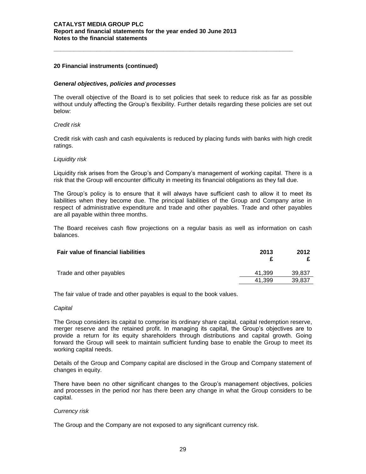#### **20 Financial instruments (continued)**

#### *General objectives, policies and processes*

The overall objective of the Board is to set policies that seek to reduce risk as far as possible without unduly affecting the Group's flexibility. Further details regarding these policies are set out below:

**\_\_\_\_\_\_\_\_\_\_\_\_\_\_\_\_\_\_\_\_\_\_\_\_\_\_\_\_\_\_\_\_\_\_\_\_\_\_\_\_\_\_\_\_\_\_\_\_\_\_\_\_\_\_\_\_\_\_\_\_\_\_\_\_\_\_\_\_\_\_\_\_**

#### *Credit risk*

Credit risk with cash and cash equivalents is reduced by placing funds with banks with high credit ratings.

#### *Liquidity risk*

Liquidity risk arises from the Group's and Company's management of working capital. There is a risk that the Group will encounter difficulty in meeting its financial obligations as they fall due.

The Group's policy is to ensure that it will always have sufficient cash to allow it to meet its liabilities when they become due. The principal liabilities of the Group and Company arise in respect of administrative expenditure and trade and other payables. Trade and other payables are all payable within three months.

The Board receives cash flow projections on a regular basis as well as information on cash balances.

| <b>Fair value of financial liabilities</b> | 2013             | 2012             |
|--------------------------------------------|------------------|------------------|
| Trade and other payables                   | 41.399<br>41.399 | 39,837<br>39.837 |
|                                            |                  |                  |

The fair value of trade and other payables is equal to the book values.

#### *Capital*

The Group considers its capital to comprise its ordinary share capital, capital redemption reserve, merger reserve and the retained profit. In managing its capital, the Group's objectives are to provide a return for its equity shareholders through distributions and capital growth. Going forward the Group will seek to maintain sufficient funding base to enable the Group to meet its working capital needs.

Details of the Group and Company capital are disclosed in the Group and Company statement of changes in equity.

There have been no other significant changes to the Group's management objectives, policies and processes in the period nor has there been any change in what the Group considers to be capital.

#### *Currency risk*

The Group and the Company are not exposed to any significant currency risk.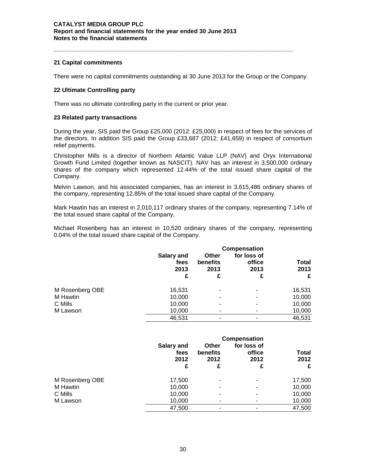#### **21 Capital commitments**

There were no capital commitments outstanding at 30 June 2013 for the Group or the Company.

**\_\_\_\_\_\_\_\_\_\_\_\_\_\_\_\_\_\_\_\_\_\_\_\_\_\_\_\_\_\_\_\_\_\_\_\_\_\_\_\_\_\_\_\_\_\_\_\_\_\_\_\_\_\_\_\_\_\_\_\_\_\_\_\_\_\_\_\_\_\_\_\_**

#### **22 Ultimate Controlling party**

There was no ultimate controlling party in the current or prior year.

#### **23 Related party transactions**

During the year, SIS paid the Group £25,000 (2012: £25,000) in respect of fees for the services of the directors. In addition SIS paid the Group £33,687 (2012: £41,659) in respect of consortium relief payments.

Christopher Mills is a director of Northern Atlantic Value LLP (NAV) and Oryx International Growth Fund Limited (together known as NASCIT). NAV has an interest in 3,500,000 ordinary shares of the company which represented 12.44% of the total issued share capital of the Company.

Melvin Lawson, and his associated companies, has an interest in 3,615,486 ordinary shares of the company, representing 12.85% of the total issued share capital of the Company.

Mark Hawtin has an interest in 2,010,117 ordinary shares of the company, representing 7.14% of the total issued share capital of the Company.

Michael Rosenberg has an interest in 10,520 ordinary shares of the company, representing 0.04% of the total issued share capital of the Company.

|                 | Compensation                    |                                              |                                    |                    |
|-----------------|---------------------------------|----------------------------------------------|------------------------------------|--------------------|
|                 | Salary and<br>fees<br>2013<br>£ | <b>Other</b><br><b>benefits</b><br>2013<br>£ | for loss of<br>office<br>2013<br>£ | Total<br>2013<br>£ |
| M Rosenberg OBE | 16,531                          |                                              |                                    | 16,531             |
| M Hawtin        | 10,000                          | -                                            |                                    | 10,000             |
| C Mills         | 10,000                          |                                              |                                    | 10,000             |
| M Lawson        | 10,000                          |                                              |                                    | 10,000             |
|                 | 46,531                          |                                              |                                    | 46,531             |

|                 | Compensation                    |                                       |                                    |                    |  |
|-----------------|---------------------------------|---------------------------------------|------------------------------------|--------------------|--|
|                 | Salary and<br>fees<br>2012<br>£ | <b>Other</b><br>benefits<br>2012<br>£ | for loss of<br>office<br>2012<br>£ | Total<br>2012<br>£ |  |
| M Rosenberg OBE | 17,500                          |                                       | ۰                                  | 17,500             |  |
| M Hawtin        | 10,000                          |                                       |                                    | 10,000             |  |
| C Mills         | 10,000                          |                                       |                                    | 10,000             |  |
| M Lawson        | 10,000                          |                                       |                                    | 10,000             |  |
|                 | 47,500                          |                                       |                                    | 47,500             |  |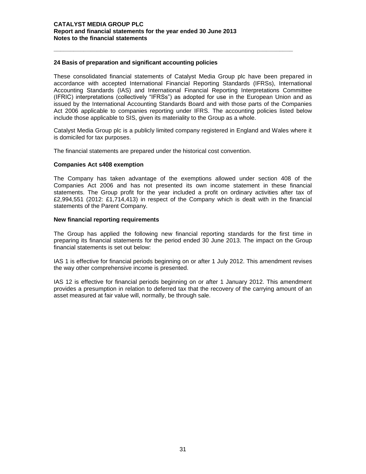#### **24 Basis of preparation and significant accounting policies**

These consolidated financial statements of Catalyst Media Group plc have been prepared in accordance with accepted International Financial Reporting Standards (IFRSs), International Accounting Standards (IAS) and International Financial Reporting Interpretations Committee (IFRIC) interpretations (collectively "IFRSs") as adopted for use in the European Union and as issued by the International Accounting Standards Board and with those parts of the Companies Act 2006 applicable to companies reporting under IFRS. The accounting policies listed below include those applicable to SIS, given its materiality to the Group as a whole.

**\_\_\_\_\_\_\_\_\_\_\_\_\_\_\_\_\_\_\_\_\_\_\_\_\_\_\_\_\_\_\_\_\_\_\_\_\_\_\_\_\_\_\_\_\_\_\_\_\_\_\_\_\_\_\_\_\_\_\_\_\_\_\_\_\_\_\_\_\_\_\_\_**

Catalyst Media Group plc is a publicly limited company registered in England and Wales where it is domiciled for tax purposes.

The financial statements are prepared under the historical cost convention.

#### **Companies Act s408 exemption**

The Company has taken advantage of the exemptions allowed under section 408 of the Companies Act 2006 and has not presented its own income statement in these financial statements. The Group profit for the year included a profit on ordinary activities after tax of £2,994,551 (2012: £1,714,413) in respect of the Company which is dealt with in the financial statements of the Parent Company.

#### **New financial reporting requirements**

The Group has applied the following new financial reporting standards for the first time in preparing its financial statements for the period ended 30 June 2013. The impact on the Group financial statements is set out below:

IAS 1 is effective for financial periods beginning on or after 1 July 2012. This amendment revises the way other comprehensive income is presented.

IAS 12 is effective for financial periods beginning on or after 1 January 2012. This amendment provides a presumption in relation to deferred tax that the recovery of the carrying amount of an asset measured at fair value will, normally, be through sale.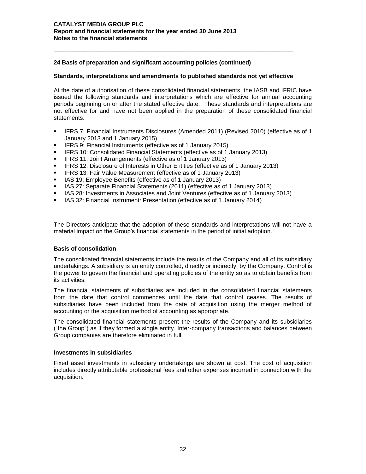#### **24 Basis of preparation and significant accounting policies (continued)**

#### **Standards, interpretations and amendments to published standards not yet effective**

**\_\_\_\_\_\_\_\_\_\_\_\_\_\_\_\_\_\_\_\_\_\_\_\_\_\_\_\_\_\_\_\_\_\_\_\_\_\_\_\_\_\_\_\_\_\_\_\_\_\_\_\_\_\_\_\_\_\_\_\_\_\_\_\_\_\_\_\_\_\_\_\_**

At the date of authorisation of these consolidated financial statements, the IASB and IFRIC have issued the following standards and interpretations which are effective for annual accounting periods beginning on or after the stated effective date. These standards and interpretations are not effective for and have not been applied in the preparation of these consolidated financial statements:

- **IFRS 7: Financial Instruments Disclosures (Amended 2011) (Revised 2010) (effective as of 1** January 2013 and 1 January 2015)
- **IFRS 9: Financial Instruments (effective as of 1 January 2015)**
- IFRS 10: Consolidated Financial Statements (effective as of 1 January 2013)
- **IFRS 11: Joint Arrangements (effective as of 1 January 2013)**
- IFRS 12: Disclosure of Interests in Other Entities (effective as of 1 January 2013)
- **FRICE 13: Fair Value Measurement (effective as of 1 January 2013)**
- IAS 19: Employee Benefits (effective as of 1 January 2013)
- **IAS 27: Separate Financial Statements (2011) (effective as of 1 January 2013)**
- **IAS 28: Investments in Associates and Joint Ventures (effective as of 1 January 2013)**
- **IFM 1988** 12: Financial Instrument: Presentation (effective as of 1 January 2014)

The Directors anticipate that the adoption of these standards and interpretations will not have a material impact on the Group's financial statements in the period of initial adoption.

#### **Basis of consolidation**

The consolidated financial statements include the results of the Company and all of its subsidiary undertakings. A subsidiary is an entity controlled, directly or indirectly, by the Company. Control is the power to govern the financial and operating policies of the entity so as to obtain benefits from its activities.

The financial statements of subsidiaries are included in the consolidated financial statements from the date that control commences until the date that control ceases. The results of subsidiaries have been included from the date of acquisition using the merger method of accounting or the acquisition method of accounting as appropriate.

The consolidated financial statements present the results of the Company and its subsidiaries ("the Group") as if they formed a single entity. Inter-company transactions and balances between Group companies are therefore eliminated in full.

#### **Investments in subsidiaries**

Fixed asset investments in subsidiary undertakings are shown at cost. The cost of acquisition includes directly attributable professional fees and other expenses incurred in connection with the acquisition.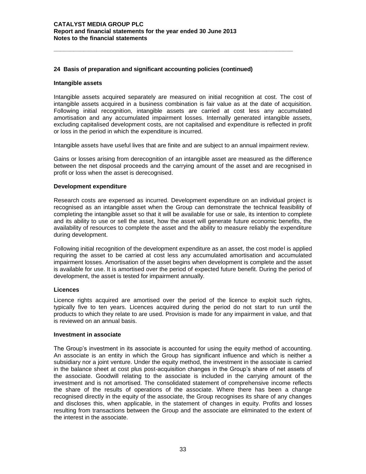#### **24 Basis of preparation and significant accounting policies (continued)**

#### **Intangible assets**

Intangible assets acquired separately are measured on initial recognition at cost. The cost of intangible assets acquired in a business combination is fair value as at the date of acquisition. Following initial recognition, intangible assets are carried at cost less any accumulated amortisation and any accumulated impairment losses. Internally generated intangible assets, excluding capitalised development costs, are not capitalised and expenditure is reflected in profit or loss in the period in which the expenditure is incurred.

**\_\_\_\_\_\_\_\_\_\_\_\_\_\_\_\_\_\_\_\_\_\_\_\_\_\_\_\_\_\_\_\_\_\_\_\_\_\_\_\_\_\_\_\_\_\_\_\_\_\_\_\_\_\_\_\_\_\_\_\_\_\_\_\_\_\_\_\_\_\_\_\_**

Intangible assets have useful lives that are finite and are subject to an annual impairment review.

Gains or losses arising from derecognition of an intangible asset are measured as the difference between the net disposal proceeds and the carrying amount of the asset and are recognised in profit or loss when the asset is derecognised.

#### **Development expenditure**

Research costs are expensed as incurred. Development expenditure on an individual project is recognised as an intangible asset when the Group can demonstrate the technical feasibility of completing the intangible asset so that it will be available for use or sale, its intention to complete and its ability to use or sell the asset, how the asset will generate future economic benefits, the availability of resources to complete the asset and the ability to measure reliably the expenditure during development.

Following initial recognition of the development expenditure as an asset, the cost model is applied requiring the asset to be carried at cost less any accumulated amortisation and accumulated impairment losses. Amortisation of the asset begins when development is complete and the asset is available for use. It is amortised over the period of expected future benefit. During the period of development, the asset is tested for impairment annually.

#### **Licences**

Licence rights acquired are amortised over the period of the licence to exploit such rights, typically five to ten years. Licences acquired during the period do not start to run until the products to which they relate to are used. Provision is made for any impairment in value, and that is reviewed on an annual basis.

#### **Investment in associate**

The Group's investment in its associate is accounted for using the equity method of accounting. An associate is an entity in which the Group has significant influence and which is neither a subsidiary nor a joint venture. Under the equity method, the investment in the associate is carried in the balance sheet at cost plus post-acquisition changes in the Group's share of net assets of the associate. Goodwill relating to the associate is included in the carrying amount of the investment and is not amortised. The consolidated statement of comprehensive income reflects the share of the results of operations of the associate. Where there has been a change recognised directly in the equity of the associate, the Group recognises its share of any changes and discloses this, when applicable, in the statement of changes in equity. Profits and losses resulting from transactions between the Group and the associate are eliminated to the extent of the interest in the associate.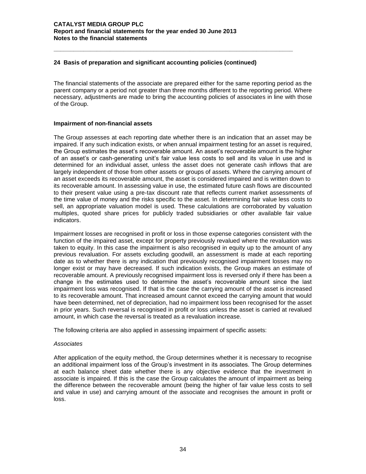#### **24 Basis of preparation and significant accounting policies (continued)**

The financial statements of the associate are prepared either for the same reporting period as the parent company or a period not greater than three months different to the reporting period. Where necessary, adjustments are made to bring the accounting policies of associates in line with those of the Group.

**\_\_\_\_\_\_\_\_\_\_\_\_\_\_\_\_\_\_\_\_\_\_\_\_\_\_\_\_\_\_\_\_\_\_\_\_\_\_\_\_\_\_\_\_\_\_\_\_\_\_\_\_\_\_\_\_\_\_\_\_\_\_\_\_\_\_\_\_\_\_\_\_**

#### **Impairment of non-financial assets**

The Group assesses at each reporting date whether there is an indication that an asset may be impaired. If any such indication exists, or when annual impairment testing for an asset is required, the Group estimates the asset's recoverable amount. An asset's recoverable amount is the higher of an asset's or cash-generating unit's fair value less costs to sell and its value in use and is determined for an individual asset, unless the asset does not generate cash inflows that are largely independent of those from other assets or groups of assets. Where the carrying amount of an asset exceeds its recoverable amount, the asset is considered impaired and is written down to its recoverable amount. In assessing value in use, the estimated future cash flows are discounted to their present value using a pre-tax discount rate that reflects current market assessments of the time value of money and the risks specific to the asset. In determining fair value less costs to sell, an appropriate valuation model is used. These calculations are corroborated by valuation multiples, quoted share prices for publicly traded subsidiaries or other available fair value indicators.

Impairment losses are recognised in profit or loss in those expense categories consistent with the function of the impaired asset, except for property previously revalued where the revaluation was taken to equity. In this case the impairment is also recognised in equity up to the amount of any previous revaluation. For assets excluding goodwill, an assessment is made at each reporting date as to whether there is any indication that previously recognised impairment losses may no longer exist or may have decreased. If such indication exists, the Group makes an estimate of recoverable amount. A previously recognised impairment loss is reversed only if there has been a change in the estimates used to determine the asset's recoverable amount since the last impairment loss was recognised. If that is the case the carrying amount of the asset is increased to its recoverable amount. That increased amount cannot exceed the carrying amount that would have been determined, net of depreciation, had no impairment loss been recognised for the asset in prior years. Such reversal is recognised in profit or loss unless the asset is carried at revalued amount, in which case the reversal is treated as a revaluation increase.

The following criteria are also applied in assessing impairment of specific assets:

#### *Associates*

After application of the equity method, the Group determines whether it is necessary to recognise an additional impairment loss of the Group's investment in its associates. The Group determines at each balance sheet date whether there is any objective evidence that the investment in associate is impaired. If this is the case the Group calculates the amount of impairment as being the difference between the recoverable amount (being the higher of fair value less costs to sell and value in use) and carrying amount of the associate and recognises the amount in profit or loss.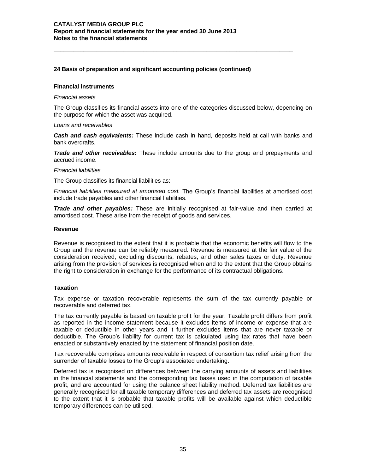#### **24 Basis of preparation and significant accounting policies (continued)**

#### **Financial instruments**

#### *Financial assets*

The Group classifies its financial assets into one of the categories discussed below, depending on the purpose for which the asset was acquired.

**\_\_\_\_\_\_\_\_\_\_\_\_\_\_\_\_\_\_\_\_\_\_\_\_\_\_\_\_\_\_\_\_\_\_\_\_\_\_\_\_\_\_\_\_\_\_\_\_\_\_\_\_\_\_\_\_\_\_\_\_\_\_\_\_\_\_\_\_\_\_\_\_**

#### *Loans and receivables*

*Cash and cash equivalents:* These include cash in hand, deposits held at call with banks and bank overdrafts.

*Trade and other receivables:* These include amounts due to the group and prepayments and accrued income.

#### *Financial liabilities*

The Group classifies its financial liabilities as:

*Financial liabilities measured at amortised cost.* The Group's financial liabilities at amortised cost include trade payables and other financial liabilities.

*Trade and other payables:* These are initially recognised at fair-value and then carried at amortised cost. These arise from the receipt of goods and services.

#### **Revenue**

Revenue is recognised to the extent that it is probable that the economic benefits will flow to the Group and the revenue can be reliably measured. Revenue is measured at the fair value of the consideration received, excluding discounts, rebates, and other sales taxes or duty. Revenue arising from the provision of services is recognised when and to the extent that the Group obtains the right to consideration in exchange for the performance of its contractual obligations.

#### **Taxation**

Tax expense or taxation recoverable represents the sum of the tax currently payable or recoverable and deferred tax.

The tax currently payable is based on taxable profit for the year. Taxable profit differs from profit as reported in the income statement because it excludes items of income or expense that are taxable or deductible in other years and it further excludes items that are never taxable or deductible. The Group's liability for current tax is calculated using tax rates that have been enacted or substantively enacted by the statement of financial position date.

Tax recoverable comprises amounts receivable in respect of consortium tax relief arising from the surrender of taxable losses to the Group's associated undertaking.

Deferred tax is recognised on differences between the carrying amounts of assets and liabilities in the financial statements and the corresponding tax bases used in the computation of taxable profit, and are accounted for using the balance sheet liability method. Deferred tax liabilities are generally recognised for all taxable temporary differences and deferred tax assets are recognised to the extent that it is probable that taxable profits will be available against which deductible temporary differences can be utilised.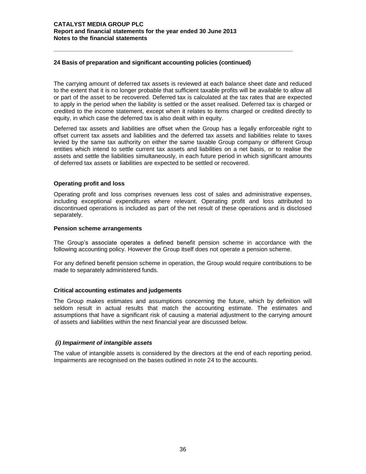#### **24 Basis of preparation and significant accounting policies (continued)**

The carrying amount of deferred tax assets is reviewed at each balance sheet date and reduced to the extent that it is no longer probable that sufficient taxable profits will be available to allow all or part of the asset to be recovered. Deferred tax is calculated at the tax rates that are expected to apply in the period when the liability is settled or the asset realised. Deferred tax is charged or credited to the income statement, except when it relates to items charged or credited directly to equity, in which case the deferred tax is also dealt with in equity.

**\_\_\_\_\_\_\_\_\_\_\_\_\_\_\_\_\_\_\_\_\_\_\_\_\_\_\_\_\_\_\_\_\_\_\_\_\_\_\_\_\_\_\_\_\_\_\_\_\_\_\_\_\_\_\_\_\_\_\_\_\_\_\_\_\_\_\_\_\_\_\_\_**

Deferred tax assets and liabilities are offset when the Group has a legally enforceable right to offset current tax assets and liabilities and the deferred tax assets and liabilities relate to taxes levied by the same tax authority on either the same taxable Group company or different Group entities which intend to settle current tax assets and liabilities on a net basis, or to realise the assets and settle the liabilities simultaneously, in each future period in which significant amounts of deferred tax assets or liabilities are expected to be settled or recovered.

#### **Operating profit and loss**

Operating profit and loss comprises revenues less cost of sales and administrative expenses, including exceptional expenditures where relevant. Operating profit and loss attributed to discontinued operations is included as part of the net result of these operations and is disclosed separately.

#### **Pension scheme arrangements**

The Group's associate operates a defined benefit pension scheme in accordance with the following accounting policy. However the Group itself does not operate a pension scheme.

For any defined benefit pension scheme in operation, the Group would require contributions to be made to separately administered funds.

#### **Critical accounting estimates and judgements**

The Group makes estimates and assumptions concerning the future, which by definition will seldom result in actual results that match the accounting estimate. The estimates and assumptions that have a significant risk of causing a material adjustment to the carrying amount of assets and liabilities within the next financial year are discussed below.

#### *(i) Impairment of intangible assets*

The value of intangible assets is considered by the directors at the end of each reporting period. Impairments are recognised on the bases outlined in note 24 to the accounts.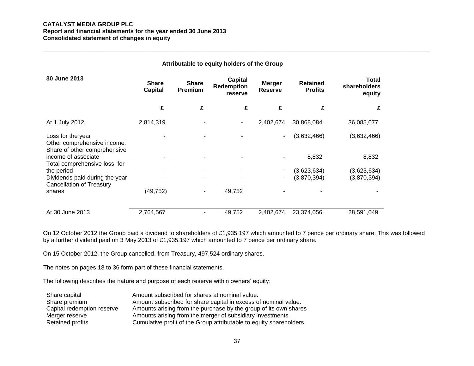#### **CATALYST MEDIA GROUP PLC Report and financial statements for the year ended 30 June 2013 Consolidated statement of changes in equity**

| Attributable to equity holders of the Group                                                                     |                                |                                |                                                |                                 |                                   |                                 |
|-----------------------------------------------------------------------------------------------------------------|--------------------------------|--------------------------------|------------------------------------------------|---------------------------------|-----------------------------------|---------------------------------|
| 30 June 2013                                                                                                    | <b>Share</b><br><b>Capital</b> | <b>Share</b><br><b>Premium</b> | <b>Capital</b><br><b>Redemption</b><br>reserve | <b>Merger</b><br><b>Reserve</b> | <b>Retained</b><br><b>Profits</b> | Total<br>shareholders<br>equity |
|                                                                                                                 | £                              | £                              | £                                              | £                               | £                                 | £                               |
| At 1 July 2012                                                                                                  | 2,814,319                      |                                |                                                | 2,402,674                       | 30,868,084                        | 36,085,077                      |
| Loss for the year<br>Other comprehensive income:<br>Share of other comprehensive                                |                                |                                |                                                | $\overline{\phantom{a}}$        | (3,632,466)                       | (3,632,466)                     |
| income of associate                                                                                             |                                |                                |                                                |                                 | 8,832                             | 8,832                           |
| Total comprehensive loss for<br>the period<br>Dividends paid during the year<br><b>Cancellation of Treasury</b> |                                |                                |                                                |                                 | (3,623,634)<br>(3,870,394)        | (3,623,634)<br>(3,870,394)      |
| shares                                                                                                          | (49, 752)                      |                                | 49,752                                         |                                 |                                   |                                 |
| At 30 June 2013                                                                                                 | 2,764,567                      | $\blacksquare$                 | 49,752                                         | 2,402,674                       | 23,374,056                        | 28,591,049                      |
|                                                                                                                 |                                |                                |                                                |                                 |                                   |                                 |

On 12 October 2012 the Group paid a dividend to shareholders of £1,935,197 which amounted to 7 pence per ordinary share. This was followed by a further dividend paid on 3 May 2013 of £1,935,197 which amounted to 7 pence per ordinary share.

**\_\_\_\_\_\_\_\_\_\_\_\_\_\_\_\_\_\_\_\_\_\_\_\_\_\_\_\_\_\_\_\_\_\_\_\_\_\_\_\_\_\_\_\_\_\_\_\_\_\_\_\_\_\_\_\_\_\_\_\_\_\_\_\_\_\_\_\_\_\_\_\_\_\_\_\_\_\_\_\_\_\_\_\_\_\_\_\_\_\_\_\_\_\_\_\_\_\_\_\_\_\_\_\_\_\_\_\_\_\_\_\_\_\_\_\_**

On 15 October 2012, the Group cancelled, from Treasury, 497,524 ordinary shares.

The notes on pages 18 to 36 form part of these financial statements.

| Share capital              | Amount subscribed for shares at nominal value.                      |
|----------------------------|---------------------------------------------------------------------|
| Share premium              | Amount subscribed for share capital in excess of nominal value.     |
| Capital redemption reserve | Amounts arising from the purchase by the group of its own shares    |
| Merger reserve             | Amounts arising from the merger of subsidiary investments.          |
| <b>Retained profits</b>    | Cumulative profit of the Group attributable to equity shareholders. |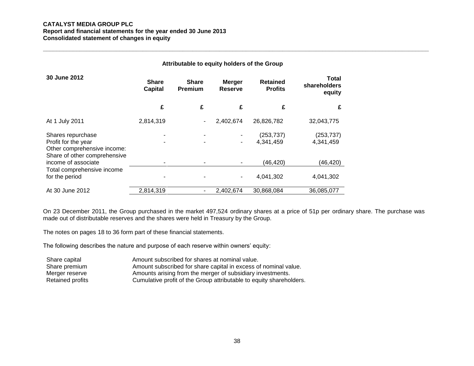#### **CATALYST MEDIA GROUP PLC Report and financial statements for the year ended 30 June 2013 Consolidated statement of changes in equity**

|                                                                                                         | Attributable to equity holders of the Group |                                |                                 |                                   |                                 |
|---------------------------------------------------------------------------------------------------------|---------------------------------------------|--------------------------------|---------------------------------|-----------------------------------|---------------------------------|
| 30 June 2012                                                                                            | <b>Share</b><br>Capital                     | <b>Share</b><br><b>Premium</b> | <b>Merger</b><br><b>Reserve</b> | <b>Retained</b><br><b>Profits</b> | Total<br>shareholders<br>equity |
|                                                                                                         | £                                           | £                              | £                               | £                                 | £                               |
| At 1 July 2011                                                                                          | 2,814,319                                   |                                | 2,402,674                       | 26,826,782                        | 32,043,775                      |
| Shares repurchase<br>Profit for the year<br>Other comprehensive income:<br>Share of other comprehensive |                                             |                                |                                 | (253, 737)<br>4,341,459           | (253, 737)<br>4,341,459         |
| income of associate                                                                                     |                                             |                                |                                 | (46, 420)                         | (46, 420)                       |
| Total comprehensive income<br>for the period                                                            |                                             |                                |                                 | 4,041,302                         | 4,041,302                       |
| At 30 June 2012                                                                                         | 2,814,319                                   |                                | 2.402.674                       | 30,868,084                        | 36,085,077                      |

On 23 December 2011, the Group purchased in the market 497,524 ordinary shares at a price of 51p per ordinary share. The purchase was made out of distributable reserves and the shares were held in Treasury by the Group.

**\_\_\_\_\_\_\_\_\_\_\_\_\_\_\_\_\_\_\_\_\_\_\_\_\_\_\_\_\_\_\_\_\_\_\_\_\_\_\_\_\_\_\_\_\_\_\_\_\_\_\_\_\_\_\_\_\_\_\_\_\_\_\_\_\_\_\_\_\_\_\_\_\_\_\_\_\_\_\_\_\_\_\_\_\_\_\_\_\_\_\_\_\_\_\_\_\_\_\_\_\_\_\_\_\_\_\_\_\_\_\_\_\_\_\_\_**

The notes on pages 18 to 36 form part of these financial statements.

| Share capital    | Amount subscribed for shares at nominal value.                      |
|------------------|---------------------------------------------------------------------|
| Share premium    | Amount subscribed for share capital in excess of nominal value.     |
| Merger reserve   | Amounts arising from the merger of subsidiary investments.          |
| Retained profits | Cumulative profit of the Group attributable to equity shareholders. |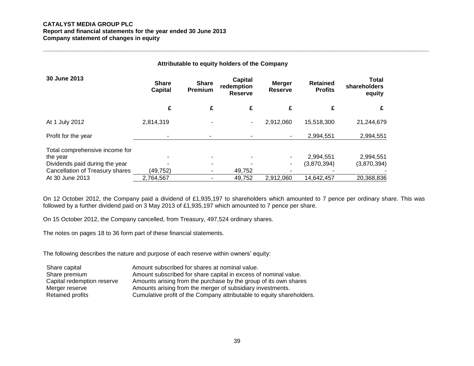#### **CATALYST MEDIA GROUP PLC Report and financial statements for the year ended 30 June 2013 Company statement of changes in equity**

|                                                                                                                 |                                |                         | Attributable to equity holders of the Company |                                 |                                   |                                        |
|-----------------------------------------------------------------------------------------------------------------|--------------------------------|-------------------------|-----------------------------------------------|---------------------------------|-----------------------------------|----------------------------------------|
| 30 June 2013                                                                                                    | <b>Share</b><br><b>Capital</b> | <b>Share</b><br>Premium | Capital<br>redemption<br><b>Reserve</b>       | <b>Merger</b><br><b>Reserve</b> | <b>Retained</b><br><b>Profits</b> | <b>Total</b><br>shareholders<br>equity |
|                                                                                                                 | £                              | £                       | £                                             | £                               | £                                 | £                                      |
| At 1 July 2012                                                                                                  | 2,814,319                      |                         |                                               | 2,912,060                       | 15,518,300                        | 21,244,679                             |
| Profit for the year                                                                                             |                                |                         |                                               | ۰                               | 2,994,551                         | 2,994,551                              |
| Total comprehensive income for<br>the year<br>Dividends paid during the year<br>Cancellation of Treasury shares | (49,752)                       | ۰                       | 49,752                                        | $\blacksquare$                  | 2,994,551<br>(3,870,394)          | 2,994,551<br>(3,870,394)               |
| At 30 June 2013                                                                                                 | 2,764,567                      | ۰                       | 49.752                                        | 2,912,060                       | 14,642,457                        | 20,368,836                             |

On 12 October 2012, the Company paid a dividend of £1,935,197 to shareholders which amounted to 7 pence per ordinary share. This was followed by a further dividend paid on 3 May 2013 of £1,935,197 which amounted to 7 pence per share.

**\_\_\_\_\_\_\_\_\_\_\_\_\_\_\_\_\_\_\_\_\_\_\_\_\_\_\_\_\_\_\_\_\_\_\_\_\_\_\_\_\_\_\_\_\_\_\_\_\_\_\_\_\_\_\_\_\_\_\_\_\_\_\_\_\_\_\_\_\_\_\_\_\_\_\_\_\_\_\_\_\_\_\_\_\_\_\_\_\_\_\_\_\_\_\_\_\_\_\_\_\_\_\_\_\_\_\_\_\_\_\_\_\_\_\_\_**

On 15 October 2012, the Company cancelled, from Treasury, 497,524 ordinary shares.

The notes on pages 18 to 36 form part of these financial statements.

| Share capital              | Amount subscribed for shares at nominal value.                        |
|----------------------------|-----------------------------------------------------------------------|
| Share premium              | Amount subscribed for share capital in excess of nominal value.       |
| Capital redemption reserve | Amounts arising from the purchase by the group of its own shares      |
| Merger reserve             | Amounts arising from the merger of subsidiary investments.            |
| <b>Retained profits</b>    | Cumulative profit of the Company attributable to equity shareholders. |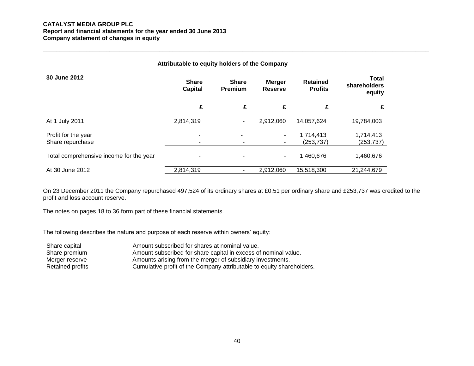#### **CATALYST MEDIA GROUP PLC Report and financial statements for the year ended 30 June 2013 Company statement of changes in equity**

|                                         | Attributable to equity holders of the Company |                                |                                 |                                   |                                        |  |
|-----------------------------------------|-----------------------------------------------|--------------------------------|---------------------------------|-----------------------------------|----------------------------------------|--|
| 30 June 2012                            | <b>Share</b><br><b>Capital</b>                | <b>Share</b><br><b>Premium</b> | <b>Merger</b><br><b>Reserve</b> | <b>Retained</b><br><b>Profits</b> | <b>Total</b><br>shareholders<br>equity |  |
|                                         | £                                             | £                              | £                               | £                                 | £                                      |  |
| At 1 July 2011                          | 2,814,319                                     |                                | 2,912,060                       | 14,057,624                        | 19,784,003                             |  |
| Profit for the year<br>Share repurchase | $\overline{\phantom{0}}$                      | $\overline{\phantom{0}}$       | ٠<br>۰.                         | 1,714,413<br>(253, 737)           | 1,714,413<br>(253, 737)                |  |
| Total comprehensive income for the year |                                               | ٠                              | ۰.                              | 1,460,676                         | 1,460,676                              |  |
| At 30 June 2012                         | 2,814,319                                     |                                | 2,912,060                       | 15,518,300                        | 21,244,679                             |  |

On 23 December 2011 the Company repurchased 497,524 of its ordinary shares at £0.51 per ordinary share and £253,737 was credited to the profit and loss account reserve.

**\_\_\_\_\_\_\_\_\_\_\_\_\_\_\_\_\_\_\_\_\_\_\_\_\_\_\_\_\_\_\_\_\_\_\_\_\_\_\_\_\_\_\_\_\_\_\_\_\_\_\_\_\_\_\_\_\_\_\_\_\_\_\_\_\_\_\_\_\_\_\_\_\_\_\_\_\_\_\_\_\_\_\_\_\_\_\_\_\_\_\_\_\_\_\_\_\_\_\_\_\_\_\_\_\_\_\_\_\_\_\_\_\_\_\_\_**

The notes on pages 18 to 36 form part of these financial statements.

| Share capital    | Amount subscribed for shares at nominal value.                        |
|------------------|-----------------------------------------------------------------------|
| Share premium    | Amount subscribed for share capital in excess of nominal value.       |
| Merger reserve   | Amounts arising from the merger of subsidiary investments.            |
| Retained profits | Cumulative profit of the Company attributable to equity shareholders. |